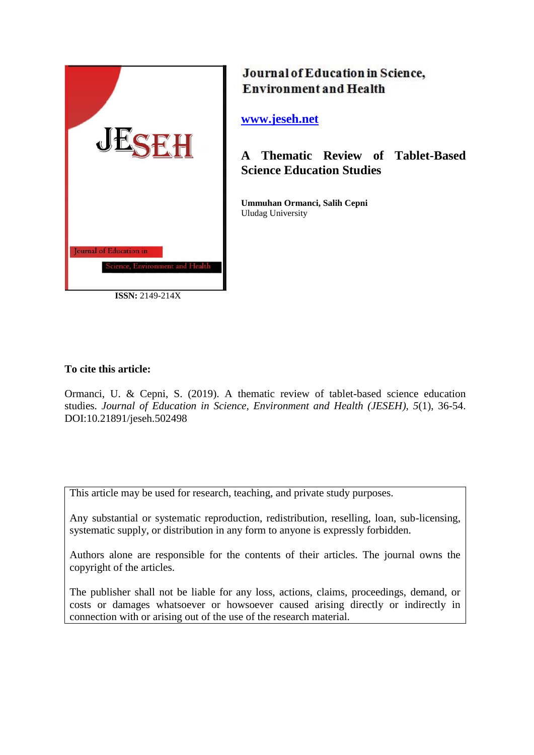

**ISSN:** 2149-214X

# Journal of Education in Science, **Environment and Health**

**[www.jeseh.net](file:///C:/Users/mustafa/Desktop/www.jeseh.net)**

**A Thematic Review of Tablet-Based Science Education Studies**

**Ummuhan Ormanci, Salih Cepni** Uludag University

## **To cite this article:**

Ormanci, U. & Cepni, S. (2019). A thematic review of tablet-based science education studies. *Journal of Education in Science, Environment and Health (JESEH), 5*(1), 36-54. DOI:10.21891/jeseh.502498

This article may be used for research, teaching, and private study purposes.

Any substantial or systematic reproduction, redistribution, reselling, loan, sub-licensing, systematic supply, or distribution in any form to anyone is expressly forbidden.

Authors alone are responsible for the contents of their articles. The journal owns the copyright of the articles.

The publisher shall not be liable for any loss, actions, claims, proceedings, demand, or costs or damages whatsoever or howsoever caused arising directly or indirectly in connection with or arising out of the use of the research material.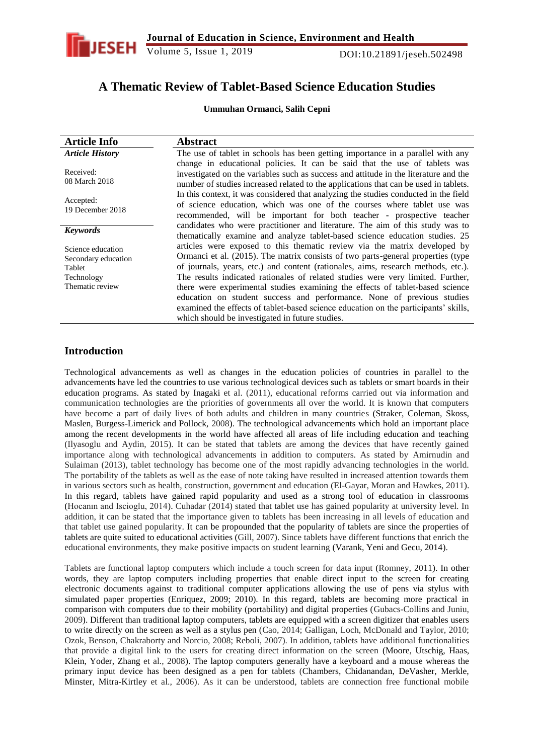

Volume 5, Issue 1, 2019 DOI:10.21891/jeseh.502498

## **A Thematic Review of Tablet-Based Science Education Studies**

**Ummuhan Ormanci, Salih Cepni**

| <b>Article Info</b>                                                                 | <b>Abstract</b>                                                                                                                                                                                                                                                                                                                                                                                                                                                                                                                                                                                                                            |
|-------------------------------------------------------------------------------------|--------------------------------------------------------------------------------------------------------------------------------------------------------------------------------------------------------------------------------------------------------------------------------------------------------------------------------------------------------------------------------------------------------------------------------------------------------------------------------------------------------------------------------------------------------------------------------------------------------------------------------------------|
| <b>Article History</b>                                                              | The use of tablet in schools has been getting importance in a parallel with any                                                                                                                                                                                                                                                                                                                                                                                                                                                                                                                                                            |
| Received:<br>08 March 2018                                                          | change in educational policies. It can be said that the use of tablets was<br>investigated on the variables such as success and attitude in the literature and the<br>number of studies increased related to the applications that can be used in tablets.                                                                                                                                                                                                                                                                                                                                                                                 |
| Accepted:<br>19 December 2018                                                       | In this context, it was considered that analyzing the studies conducted in the field<br>of science education, which was one of the courses where tablet use was<br>recommended, will be important for both teacher - prospective teacher                                                                                                                                                                                                                                                                                                                                                                                                   |
| <b>Keywords</b>                                                                     | candidates who were practitioner and literature. The aim of this study was to<br>thematically examine and analyze tablet-based science education studies. 25                                                                                                                                                                                                                                                                                                                                                                                                                                                                               |
| Science education<br>Secondary education<br>Tablet<br>Technology<br>Thematic review | articles were exposed to this thematic review via the matrix developed by<br>Ormanci et al. (2015). The matrix consists of two parts-general properties (type<br>of journals, years, etc.) and content (rationales, aims, research methods, etc.).<br>The results indicated rationales of related studies were very limited. Further,<br>there were experimental studies examining the effects of tablet-based science<br>education on student success and performance. None of previous studies<br>examined the effects of tablet-based science education on the participants' skills,<br>which should be investigated in future studies. |

## **Introduction**

Technological advancements as well as changes in the education policies of countries in parallel to the advancements have led the countries to use various technological devices such as tablets or smart boards in their education programs. As stated by Inagaki et al. (2011), educational reforms carried out via information and communication technologies are the priorities of governments all over the world. It is known that computers have become a part of daily lives of both adults and children in many countries (Straker, Coleman, Skoss, Maslen, Burgess-Limerick and Pollock, 2008). The technological advancements which hold an important place among the recent developments in the world have affected all areas of life including education and teaching (Ilyasoglu and Aydin, 2015). It can be stated that tablets are among the devices that have recently gained importance along with technological advancements in addition to computers. As stated by Amirnudin and Sulaiman (2013), tablet technology has become one of the most rapidly advancing technologies in the world. The portability of the tablets as well as the ease of note taking have resulted in increased attention towards them in various sectors such as health, construction, government and education (El-Gayar, Moran and Hawkes, 2011). In this regard, tablets have gained rapid popularity and used as a strong tool of education in classrooms (Hocanın and Iscioglu, 2014). Cuhadar (2014) stated that tablet use has gained popularity at university level. In addition, it can be stated that the importance given to tablets has been increasing in all levels of education and that tablet use gained popularity. It can be propounded that the popularity of tablets are since the properties of tablets are quite suited to educational activities (Gill, 2007). Since tablets have different functions that enrich the educational environments, they make positive impacts on student learning (Varank, Yeni and Gecu, 2014).

Tablets are functional laptop computers which include a touch screen for data input (Romney, 2011). In other words, they are laptop computers including properties that enable direct input to the screen for creating electronic documents against to traditional computer applications allowing the use of pens via stylus with simulated paper properties (Enriquez, 2009; 2010). In this regard, tablets are becoming more practical in comparison with computers due to their mobility (portability) and digital properties (Gubacs-Collins and Juniu, 2009). Different than traditional laptop computers, tablets are equipped with a screen digitizer that enables users to write directly on the screen as well as a stylus pen (Cao, 2014; Galligan, Loch, McDonald and Taylor, 2010; Ozok, Benson, Chakraborty and Norcio, 2008; Reboli, 2007). In addition, tablets have additional functionalities that provide a digital link to the users for creating direct information on the screen (Moore, Utschig, Haas, Klein, Yoder, Zhang et al., 2008). The laptop computers generally have a keyboard and a mouse whereas the primary input device has been designed as a pen for tablets (Chambers, Chidanandan, DeVasher, Merkle, Minster, Mitra-Kirtley et al., 2006). As it can be understood, tablets are connection free functional mobile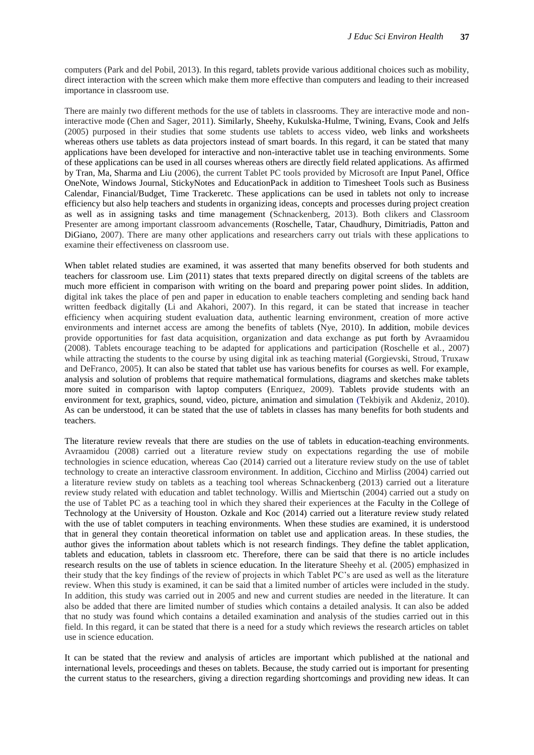computers (Park and del Pobil, 2013). In this regard, tablets provide various additional choices such as mobility, direct interaction with the screen which make them more effective than computers and leading to their increased importance in classroom use.

There are mainly two different methods for the use of tablets in classrooms. They are interactive mode and noninteractive mode (Chen and Sager, 2011). Similarly, Sheehy, Kukulska-Hulme, Twining, Evans, Cook and Jelfs (2005) purposed in their studies that some students use tablets to access video, web links and worksheets whereas others use tablets as data projectors instead of smart boards. In this regard, it can be stated that many applications have been developed for interactive and non-interactive tablet use in teaching environments. Some of these applications can be used in all courses whereas others are directly field related applications. As affirmed by Tran, Ma, Sharma and Liu (2006), the current Tablet PC tools provided by Microsoft are Input Panel, Office OneNote, Windows Journal, StickyNotes and EducationPack in addition to Timesheet Tools such as Business Calendar, Financial/Budget, Time Trackeretc. These applications can be used in tablets not only to increase efficiency but also help teachers and students in organizing ideas, concepts and processes during project creation as well as in assigning tasks and time management (Schnackenberg, 2013). Both clikers and Classroom Presenter are among important classroom advancements (Roschelle, Tatar, Chaudhury, Dimitriadis, Patton and DiGiano, 2007). There are many other applications and researchers carry out trials with these applications to examine their effectiveness on classroom use.

When tablet related studies are examined, it was asserted that many benefits observed for both students and teachers for classroom use. Lim (2011) states that texts prepared directly on digital screens of the tablets are much more efficient in comparison with writing on the board and preparing power point slides. In addition, digital ink takes the place of pen and paper in education to enable teachers completing and sending back hand written feedback digitally (Li and Akahori, 2007). In this regard, it can be stated that increase in teacher efficiency when acquiring student evaluation data, authentic learning environment, creation of more active environments and internet access are among the benefits of tablets (Nye, 2010). In addition, mobile devices provide opportunities for fast data acquisition, organization and data exchange as put forth by Avraamidou (2008). Tablets encourage teaching to be adapted for applications and participation (Roschelle et al., 2007) while attracting the students to the course by using digital ink as teaching material (Gorgievski, Stroud, Truxaw and DeFranco, 2005). It can also be stated that tablet use has various benefits for courses as well. For example, analysis and solution of problems that require mathematical formulations, diagrams and sketches make tablets more suited in comparison with laptop computers (Enriquez, 2009). Tablets provide students with an environment for text, graphics, sound, video, picture, animation and simulation (Tekbiyik and Akdeniz, 2010). As can be understood, it can be stated that the use of tablets in classes has many benefits for both students and teachers.

The literature review reveals that there are studies on the use of tablets in education-teaching environments. Avraamidou (2008) carried out a literature review study on expectations regarding the use of mobile technologies in science education, whereas Cao (2014) carried out a literature review study on the use of tablet technology to create an interactive classroom environment. In addition, Cicchino and Mirliss (2004) carried out a literature review study on tablets as a teaching tool whereas Schnackenberg (2013) carried out a literature review study related with education and tablet technology. Willis and Miertschin (2004) carried out a study on the use of Tablet PC as a teaching tool in which they shared their experiences at the Faculty in the College of Technology at the University of Houston. Ozkale and Koc (2014) carried out a literature review study related with the use of tablet computers in teaching environments. When these studies are examined, it is understood that in general they contain theoretical information on tablet use and application areas. In these studies, the author gives the information about tablets which is not research findings. They define the tablet application, tablets and education, tablets in classroom etc. Therefore, there can be said that there is no article includes research results on the use of tablets in science education. In the literature Sheehy et al. (2005) emphasized in their study that the key findings of the review of projects in which Tablet PC"s are used as well as the literature review. When this study is examined, it can be said that a limited number of articles were included in the study. In addition, this study was carried out in 2005 and new and current studies are needed in the literature. It can also be added that there are limited number of studies which contains a detailed analysis. It can also be added that no study was found which contains a detailed examination and analysis of the studies carried out in this field. In this regard, it can be stated that there is a need for a study which reviews the research articles on tablet use in science education.

It can be stated that the review and analysis of articles are important which published at the national and international levels, proceedings and theses on tablets. Because, the study carried out is important for presenting the current status to the researchers, giving a direction regarding shortcomings and providing new ideas. It can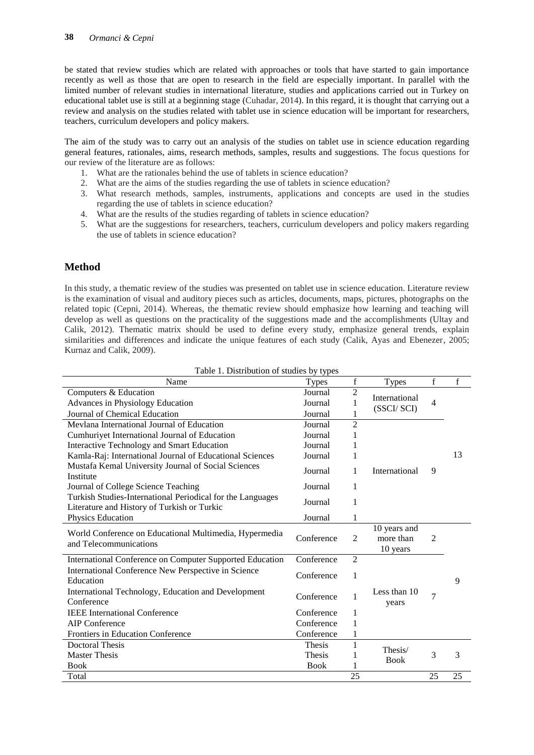be stated that review studies which are related with approaches or tools that have started to gain importance recently as well as those that are open to research in the field are especially important. In parallel with the limited number of relevant studies in international literature, studies and applications carried out in Turkey on educational tablet use is still at a beginning stage (Cuhadar, 2014). In this regard, it is thought that carrying out a review and analysis on the studies related with tablet use in science education will be important for researchers, teachers, curriculum developers and policy makers.

The aim of the study was to carry out an analysis of the studies on tablet use in science education regarding general features, rationales, aims, research methods, samples, results and suggestions. The focus questions for our review of the literature are as follows:

- 1. What are the rationales behind the use of tablets in science education?
- 2. What are the aims of the studies regarding the use of tablets in science education?
- 3. What research methods, samples, instruments, applications and concepts are used in the studies regarding the use of tablets in science education?
- 4. What are the results of the studies regarding of tablets in science education?
- 5. What are the suggestions for researchers, teachers, curriculum developers and policy makers regarding the use of tablets in science education?

## **Method**

In this study, a thematic review of the studies was presented on tablet use in science education. Literature review is the examination of visual and auditory pieces such as articles, documents, maps, pictures, photographs on the related topic (Cepni, 2014). Whereas, the thematic review should emphasize how learning and teaching will develop as well as questions on the practicality of the suggestions made and the accomplishments (Ultay and Calik, 2012). Thematic matrix should be used to define every study, emphasize general trends, explain similarities and differences and indicate the unique features of each study (Calik, Ayas and Ebenezer, 2005; Kurnaz and Calik, 2009).

| Lable 1. Distribution of studies by types<br>Name                                                         | <b>Types</b> | $\mathbf f$    | <b>Types</b>                          | $\mathbf f$    | f  |
|-----------------------------------------------------------------------------------------------------------|--------------|----------------|---------------------------------------|----------------|----|
| Computers & Education                                                                                     | Journal      | $\overline{2}$ | International                         |                |    |
| Advances in Physiology Education                                                                          | Journal      |                |                                       | $\overline{4}$ |    |
| Journal of Chemical Education                                                                             | Journal      |                | (SSCI/SCI)                            |                |    |
| Mevlana International Journal of Education                                                                | Journal      | $\overline{2}$ |                                       |                |    |
| Cumhuriyet International Journal of Education                                                             | Journal      |                |                                       |                |    |
| <b>Interactive Technology and Smart Education</b>                                                         | Journal      |                |                                       |                |    |
| Kamla-Raj: International Journal of Educational Sciences                                                  | Journal      | 1              |                                       |                | 13 |
| Mustafa Kemal University Journal of Social Sciences<br>Institute                                          | Journal      | 1              | International                         | 9              |    |
| Journal of College Science Teaching                                                                       | Journal      | 1              |                                       |                |    |
| Turkish Studies-International Periodical for the Languages<br>Literature and History of Turkish or Turkic | Journal      | 1              |                                       |                |    |
| Physics Education                                                                                         | Journal      | 1              |                                       |                |    |
| World Conference on Educational Multimedia, Hypermedia<br>and Telecommunications                          | Conference   | $\overline{2}$ | 10 years and<br>more than<br>10 years | $\overline{2}$ |    |
| International Conference on Computer Supported Education                                                  | Conference   | $\overline{2}$ |                                       |                |    |
| International Conference New Perspective in Science<br>Education                                          | Conference   | 1              |                                       |                | 9  |
| International Technology, Education and Development<br>Conference                                         | Conference   | 1              | Less than 10<br>years                 | 7              |    |
| <b>IEEE</b> International Conference                                                                      | Conference   | 1              |                                       |                |    |
| <b>AIP</b> Conference                                                                                     | Conference   | 1              |                                       |                |    |
| Frontiers in Education Conference                                                                         | Conference   |                |                                       |                |    |
| <b>Doctoral Thesis</b>                                                                                    | Thesis       | 1              | Thesis/                               |                |    |
| <b>Master Thesis</b>                                                                                      | Thesis       |                | <b>Book</b>                           | 3              | 3  |
| <b>Book</b>                                                                                               | <b>Book</b>  |                |                                       |                |    |
| Total                                                                                                     |              | 25             |                                       | 25             | 25 |

|  |  | Table 1. Distribution of studies by types |  |  |  |
|--|--|-------------------------------------------|--|--|--|
|--|--|-------------------------------------------|--|--|--|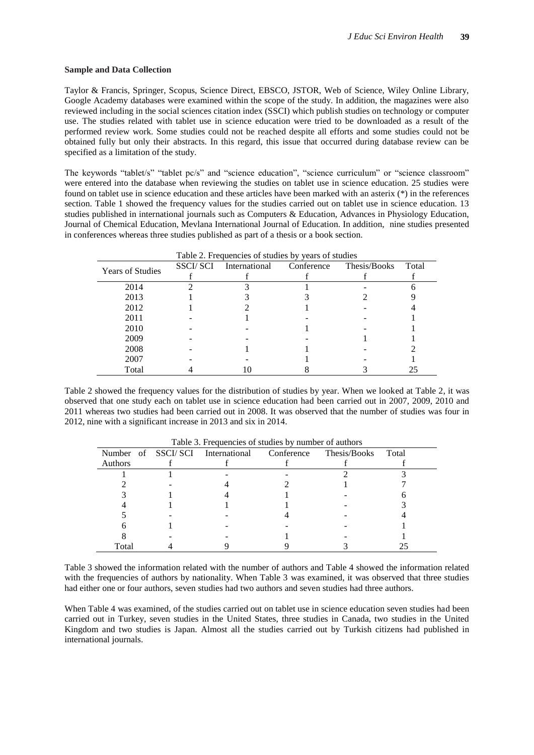#### **Sample and Data Collection**

Taylor & Francis, Springer, Scopus, Science Direct, EBSCO, JSTOR, Web of Science, Wiley Online Library, Google Academy databases were examined within the scope of the study. In addition, the magazines were also reviewed including in the social sciences citation index (SSCI) which publish studies on technology or computer use. The studies related with tablet use in science education were tried to be downloaded as a result of the performed review work. Some studies could not be reached despite all efforts and some studies could not be obtained fully but only their abstracts. In this regard, this issue that occurred during database review can be specified as a limitation of the study.

The keywords "tablet/s" "tablet pc/s" and "science education", "science curriculum" or "science classroom" were entered into the database when reviewing the studies on tablet use in science education. 25 studies were found on tablet use in science education and these articles have been marked with an asterix (\*) in the references section. Table 1 showed the frequency values for the studies carried out on tablet use in science education. 13 studies published in international journals such as Computers & Education, Advances in Physiology Education, Journal of Chemical Education, Mevlana International Journal of Education. In addition, nine studies presented in conferences whereas three studies published as part of a thesis or a book section.

|                         |           | Table 2. Frequencies of studies by years of studies |            |              |       |
|-------------------------|-----------|-----------------------------------------------------|------------|--------------|-------|
| <b>Years of Studies</b> | SSCI/ SCI | International                                       | Conference | Thesis/Books | Total |
|                         |           |                                                     |            |              |       |
| 2014                    |           |                                                     |            |              |       |
| 2013                    |           |                                                     |            |              |       |
| 2012                    |           |                                                     |            |              |       |
| 2011                    |           |                                                     |            |              |       |
| 2010                    |           |                                                     |            |              |       |
| 2009                    |           |                                                     |            |              |       |
| 2008                    |           |                                                     |            |              |       |
| 2007                    |           |                                                     |            |              |       |
| Total                   |           |                                                     |            |              | 25    |

Table 2 showed the frequency values for the distribution of studies by year. When we looked at Table 2, it was observed that one study each on tablet use in science education had been carried out in 2007, 2009, 2010 and 2011 whereas two studies had been carried out in 2008. It was observed that the number of studies was four in 2012, nine with a significant increase in 2013 and six in 2014.

|         | <b>Table 5. I requesteres</b> of statics by humber of authors |              |       |
|---------|---------------------------------------------------------------|--------------|-------|
|         | Number of SSCI/SCI International Conference                   | Thesis/Books | Total |
| Authors |                                                               |              |       |
|         |                                                               |              |       |
|         |                                                               |              |       |
|         |                                                               |              |       |
|         |                                                               |              |       |
|         |                                                               |              |       |
|         |                                                               |              |       |
|         |                                                               |              |       |
| Total   |                                                               |              |       |

Table 3. Frequencies of studies by number of authors

Table 3 showed the information related with the number of authors and Table 4 showed the information related with the frequencies of authors by nationality. When Table 3 was examined, it was observed that three studies had either one or four authors, seven studies had two authors and seven studies had three authors.

When Table 4 was examined, of the studies carried out on tablet use in science education seven studies had been carried out in Turkey, seven studies in the United States, three studies in Canada, two studies in the United Kingdom and two studies is Japan. Almost all the studies carried out by Turkish citizens had published in international journals.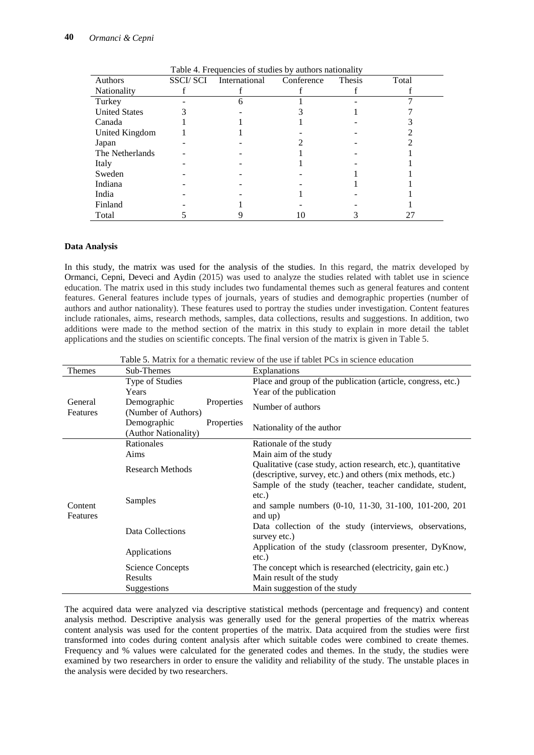| <b>Authors</b>       | SSCI/SCI International | Conference | Thesis | Total |
|----------------------|------------------------|------------|--------|-------|
| <b>Nationality</b>   |                        |            |        |       |
| Turkey               |                        |            |        |       |
| <b>United States</b> |                        |            |        |       |
| Canada               |                        |            |        |       |
| United Kingdom       |                        |            |        |       |
| Japan                |                        |            |        |       |
| The Netherlands      |                        |            |        |       |
| Italy                |                        |            |        |       |
| Sweden               |                        |            |        |       |
| Indiana              |                        |            |        |       |
| India                |                        |            |        |       |
| Finland              |                        |            |        |       |
| Total                |                        |            |        |       |

Table 4. Frequencies of studies by authors nationality

#### **Data Analysis**

In this study, the matrix was used for the analysis of the studies. In this regard, the matrix developed by Ormanci, Cepni, Deveci and Aydin (2015) was used to analyze the studies related with tablet use in science education. The matrix used in this study includes two fundamental themes such as general features and content features. General features include types of journals, years of studies and demographic properties (number of authors and author nationality). These features used to portray the studies under investigation. Content features include rationales, aims, research methods, samples, data collections, results and suggestions. In addition, two additions were made to the method section of the matrix in this study to explain in more detail the tablet applications and the studies on scientific concepts. The final version of the matrix is given in Table 5.

| Themes              | Sub-Themes                          |            | Table 5. Matrix for a thematic feview of the use if tablet FCs in selence equeation<br>Explanations                                       |  |  |  |  |
|---------------------|-------------------------------------|------------|-------------------------------------------------------------------------------------------------------------------------------------------|--|--|--|--|
|                     | Type of Studies<br>Years            |            | Place and group of the publication (article, congress, etc.)<br>Year of the publication                                                   |  |  |  |  |
| General<br>Features | Demographic<br>(Number of Authors)  | Properties | Number of authors                                                                                                                         |  |  |  |  |
|                     | Demographic<br>(Author Nationality) | Properties | Nationality of the author                                                                                                                 |  |  |  |  |
|                     | Rationales                          |            | Rationale of the study                                                                                                                    |  |  |  |  |
|                     | Aims                                |            | Main aim of the study                                                                                                                     |  |  |  |  |
| Content             | <b>Research Methods</b>             |            | Qualitative (case study, action research, etc.), quantitative<br>(descriptive, survey, etc.) and others (mix methods, etc.)               |  |  |  |  |
| Features            | Samples                             |            | Sample of the study (teacher, teacher candidate, student,<br>$etc.$ )<br>and sample numbers (0-10, 11-30, 31-100, 101-200, 201<br>and up) |  |  |  |  |
|                     | Data Collections                    |            | Data collection of the study (interviews, observations,<br>survey etc.)                                                                   |  |  |  |  |
|                     | Applications                        |            | Application of the study (classroom presenter, DyKnow,<br>$etc.$ )                                                                        |  |  |  |  |
|                     | Science Concepts                    |            | The concept which is researched (electricity, gain etc.)                                                                                  |  |  |  |  |
|                     | Results                             |            | Main result of the study                                                                                                                  |  |  |  |  |
|                     | Suggestions                         |            | Main suggestion of the study                                                                                                              |  |  |  |  |

Table 5. Matrix for a thematic review of the use if tablet PCs in science education

The acquired data were analyzed via descriptive statistical methods (percentage and frequency) and content analysis method. Descriptive analysis was generally used for the general properties of the matrix whereas content analysis was used for the content properties of the matrix. Data acquired from the studies were first transformed into codes during content analysis after which suitable codes were combined to create themes. Frequency and % values were calculated for the generated codes and themes. In the study, the studies were examined by two researchers in order to ensure the validity and reliability of the study. The unstable places in the analysis were decided by two researchers.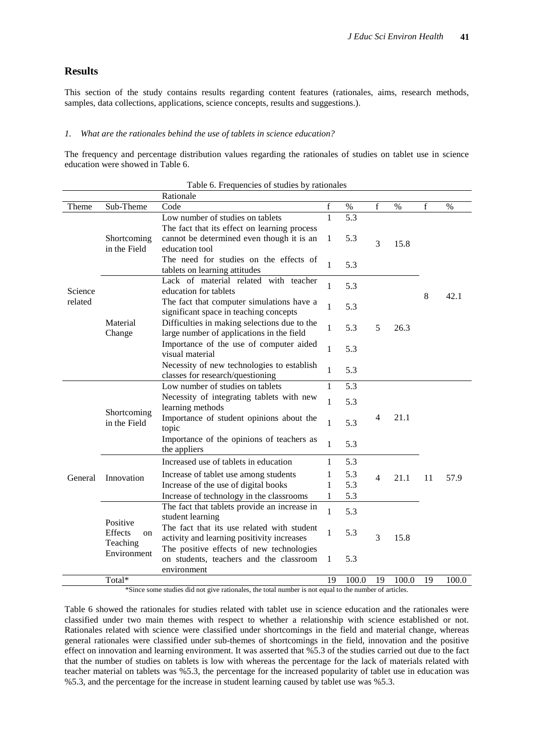## **Results**

This section of the study contains results regarding content features (rationales, aims, research methods, samples, data collections, applications, science concepts, results and suggestions.).

#### *1. What are the rationales behind the use of tablets in science education?*

The frequency and percentage distribution values regarding the rationales of studies on tablet use in science education were showed in Table 6.

|         |               | Rationale                                                            |              |       |                |       |    |       |
|---------|---------------|----------------------------------------------------------------------|--------------|-------|----------------|-------|----|-------|
| Theme   | Sub-Theme     | Code                                                                 | $\mathbf f$  | $\%$  | $\mathbf{f}$   | $\%$  | f  | $\%$  |
|         |               | Low number of studies on tablets                                     | $\mathbf{1}$ | 5.3   |                |       |    |       |
|         |               | The fact that its effect on learning process                         |              |       |                |       |    |       |
|         | Shortcoming   | cannot be determined even though it is an                            | 1            | 5.3   | 3              | 15.8  |    |       |
|         | in the Field  | education tool                                                       |              |       |                |       |    |       |
|         |               | The need for studies on the effects of                               | 1            | 5.3   |                |       |    |       |
|         |               | tablets on learning attitudes                                        |              |       |                |       |    |       |
|         |               | Lack of material related with teacher                                | 1            | 5.3   |                |       |    |       |
| Science |               | education for tablets                                                |              |       |                |       | 8  | 42.1  |
| related |               | The fact that computer simulations have a                            | 1            | 5.3   |                |       |    |       |
|         |               | significant space in teaching concepts                               |              |       |                |       |    |       |
|         | Material      | Difficulties in making selections due to the                         | 1            | 5.3   | 5              | 26.3  |    |       |
|         | Change        | large number of applications in the field                            |              |       |                |       |    |       |
|         |               | Importance of the use of computer aided                              | 1            | 5.3   |                |       |    |       |
|         |               | visual material                                                      |              |       |                |       |    |       |
|         |               | Necessity of new technologies to establish                           | $\mathbf{1}$ | 5.3   |                |       |    |       |
|         |               | classes for research/questioning<br>Low number of studies on tablets | 1            | 5.3   |                |       |    |       |
|         |               | Necessity of integrating tablets with new                            |              |       |                |       |    |       |
|         |               | learning methods                                                     | 1            | 5.3   |                |       |    |       |
|         | Shortcoming   | Importance of student opinions about the                             |              |       | 4              | 21.1  |    |       |
|         | in the Field  | topic                                                                | $\mathbf{1}$ | 5.3   |                |       |    |       |
|         |               | Importance of the opinions of teachers as                            |              |       |                |       |    |       |
|         |               | the appliers                                                         | $\mathbf{1}$ | 5.3   |                |       |    |       |
|         |               | Increased use of tablets in education                                | 1            | 5.3   |                |       |    |       |
|         |               | Increase of tablet use among students                                | 1            | 5.3   |                |       |    |       |
| General | Innovation    | Increase of the use of digital books                                 | 1            | 5.3   | $\overline{4}$ | 21.1  | 11 | 57.9  |
|         |               | Increase of technology in the classrooms                             | 1            | 5.3   |                |       |    |       |
|         |               | The fact that tablets provide an increase in                         |              |       |                |       |    |       |
|         |               | student learning                                                     | $\mathbf{1}$ | 5.3   |                |       |    |       |
|         | Positive      | The fact that its use related with student                           |              |       |                |       |    |       |
|         | Effects<br>on | activity and learning positivity increases                           | 1            | 5.3   | 3              | 15.8  |    |       |
|         | Teaching      | The positive effects of new technologies                             |              |       |                |       |    |       |
|         | Environment   | on students, teachers and the classroom                              | 1            | 5.3   |                |       |    |       |
|         |               | environment                                                          |              |       |                |       |    |       |
|         | Total*        |                                                                      | 19           | 100.0 | 19             | 100.0 | 19 | 100.0 |

|  | Table 6. Frequencies of studies by rationales |  |  |  |  |
|--|-----------------------------------------------|--|--|--|--|
|--|-----------------------------------------------|--|--|--|--|

\*Since some studies did not give rationales, the total number is not equal to the number of articles.

Table 6 showed the rationales for studies related with tablet use in science education and the rationales were classified under two main themes with respect to whether a relationship with science established or not. Rationales related with science were classified under shortcomings in the field and material change, whereas general rationales were classified under sub-themes of shortcomings in the field, innovation and the positive effect on innovation and learning environment. It was asserted that %5.3 of the studies carried out due to the fact that the number of studies on tablets is low with whereas the percentage for the lack of materials related with teacher material on tablets was %5.3, the percentage for the increased popularity of tablet use in education was %5.3, and the percentage for the increase in student learning caused by tablet use was %5.3.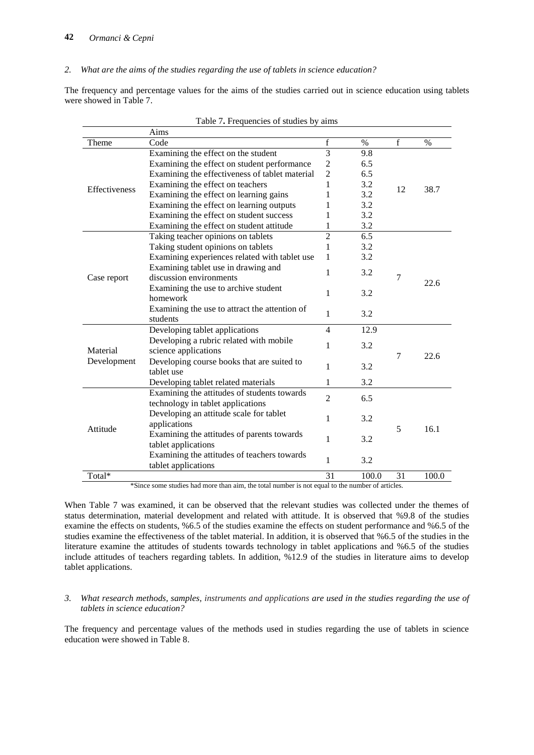*2. What are the aims of the studies regarding the use of tablets in science education?*

The frequency and percentage values for the aims of the studies carried out in science education using tablets were showed in Table 7.

| f<br>f<br>Theme<br>Code<br>$\%$<br>$\%$<br>$\overline{3}$<br>9.8<br>Examining the effect on the student<br>Examining the effect on student performance<br>2<br>6.5<br>$\overline{c}$<br>6.5<br>Examining the effectiveness of tablet material<br>Examining the effect on teachers<br>3.2<br>1<br><b>Effectiveness</b><br>12<br>38.7<br>3.2<br>Examining the effect on learning gains<br>1<br>3.2<br>Examining the effect on learning outputs<br>1<br>3.2<br>Examining the effect on student success<br>1 |  |
|----------------------------------------------------------------------------------------------------------------------------------------------------------------------------------------------------------------------------------------------------------------------------------------------------------------------------------------------------------------------------------------------------------------------------------------------------------------------------------------------------------|--|
|                                                                                                                                                                                                                                                                                                                                                                                                                                                                                                          |  |
|                                                                                                                                                                                                                                                                                                                                                                                                                                                                                                          |  |
|                                                                                                                                                                                                                                                                                                                                                                                                                                                                                                          |  |
|                                                                                                                                                                                                                                                                                                                                                                                                                                                                                                          |  |
|                                                                                                                                                                                                                                                                                                                                                                                                                                                                                                          |  |
|                                                                                                                                                                                                                                                                                                                                                                                                                                                                                                          |  |
|                                                                                                                                                                                                                                                                                                                                                                                                                                                                                                          |  |
|                                                                                                                                                                                                                                                                                                                                                                                                                                                                                                          |  |
| 3.2<br>Examining the effect on student attitude<br>1                                                                                                                                                                                                                                                                                                                                                                                                                                                     |  |
| $\overline{6.5}$<br>$\overline{2}$<br>Taking teacher opinions on tablets                                                                                                                                                                                                                                                                                                                                                                                                                                 |  |
| Taking student opinions on tablets<br>3.2<br>1                                                                                                                                                                                                                                                                                                                                                                                                                                                           |  |
| Examining experiences related with tablet use<br>3.2<br>1                                                                                                                                                                                                                                                                                                                                                                                                                                                |  |
| Examining tablet use in drawing and<br>1<br>3.2                                                                                                                                                                                                                                                                                                                                                                                                                                                          |  |
| discussion environments<br>7<br>Case report<br>22.6                                                                                                                                                                                                                                                                                                                                                                                                                                                      |  |
| Examining the use to archive student<br>1<br>3.2                                                                                                                                                                                                                                                                                                                                                                                                                                                         |  |
| homework                                                                                                                                                                                                                                                                                                                                                                                                                                                                                                 |  |
| Examining the use to attract the attention of<br>1<br>3.2                                                                                                                                                                                                                                                                                                                                                                                                                                                |  |
| students                                                                                                                                                                                                                                                                                                                                                                                                                                                                                                 |  |
| Developing tablet applications<br>12.9<br>$\overline{4}$                                                                                                                                                                                                                                                                                                                                                                                                                                                 |  |
| Developing a rubric related with mobile<br>1<br>3.2                                                                                                                                                                                                                                                                                                                                                                                                                                                      |  |
| Material<br>science applications<br>7<br>22.6                                                                                                                                                                                                                                                                                                                                                                                                                                                            |  |
| Development<br>Developing course books that are suited to<br>1<br>3.2                                                                                                                                                                                                                                                                                                                                                                                                                                    |  |
| tablet use                                                                                                                                                                                                                                                                                                                                                                                                                                                                                               |  |
| 3.2<br>Developing tablet related materials<br>1                                                                                                                                                                                                                                                                                                                                                                                                                                                          |  |
| Examining the attitudes of students towards<br>$\mathfrak{D}$<br>6.5                                                                                                                                                                                                                                                                                                                                                                                                                                     |  |
| technology in tablet applications                                                                                                                                                                                                                                                                                                                                                                                                                                                                        |  |
| Developing an attitude scale for tablet<br>1<br>3.2                                                                                                                                                                                                                                                                                                                                                                                                                                                      |  |
| applications<br>Attitude<br>5<br>16.1                                                                                                                                                                                                                                                                                                                                                                                                                                                                    |  |
| Examining the attitudes of parents towards                                                                                                                                                                                                                                                                                                                                                                                                                                                               |  |
| 1<br>3.2<br>tablet applications                                                                                                                                                                                                                                                                                                                                                                                                                                                                          |  |
| Examining the attitudes of teachers towards<br>3.2<br>1                                                                                                                                                                                                                                                                                                                                                                                                                                                  |  |
| tablet applications                                                                                                                                                                                                                                                                                                                                                                                                                                                                                      |  |
| Total <sup>*</sup><br>31<br>31<br>100.0<br>100.0                                                                                                                                                                                                                                                                                                                                                                                                                                                         |  |

\*Since some studies had more than aim, the total number is not equal to the number of articles.

When Table 7 was examined, it can be observed that the relevant studies was collected under the themes of status determination, material development and related with attitude. It is observed that %9.8 of the studies examine the effects on students, %6.5 of the studies examine the effects on student performance and %6.5 of the studies examine the effectiveness of the tablet material. In addition, it is observed that %6.5 of the studies in the literature examine the attitudes of students towards technology in tablet applications and %6.5 of the studies include attitudes of teachers regarding tablets. In addition, %12.9 of the studies in literature aims to develop tablet applications.

#### *3. What research methods, samples, instruments and applications are used in the studies regarding the use of tablets in science education?*

The frequency and percentage values of the methods used in studies regarding the use of tablets in science education were showed in Table 8.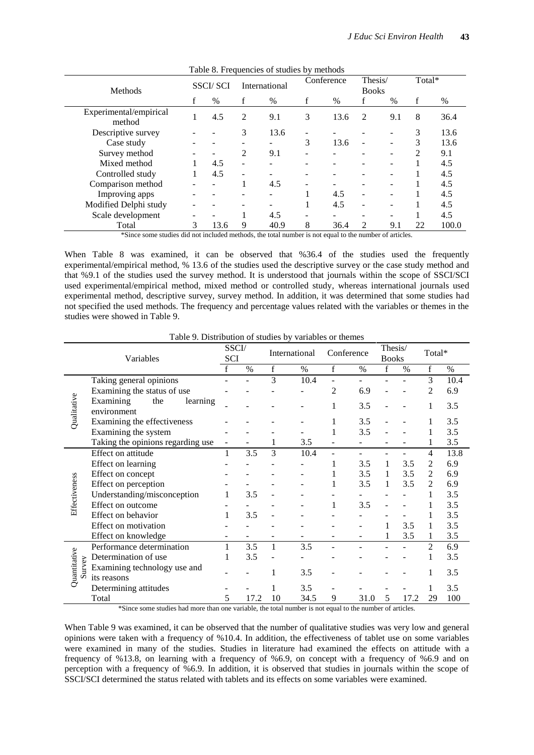| Methods                          |   | <b>SSCI/SCI</b> |   | International |   | Conference    |                             | Thesis/<br><b>Books</b> |    | Total* |  |
|----------------------------------|---|-----------------|---|---------------|---|---------------|-----------------------------|-------------------------|----|--------|--|
|                                  | f | $\%$            | f | $\%$          | f | $\frac{0}{0}$ | f                           | $\%$                    | f  | %      |  |
| Experimental/empirical<br>method |   | 4.5             | 2 | 9.1           | 3 | 13.6          | 2                           | 9.1                     | 8  | 36.4   |  |
| Descriptive survey               |   |                 | 3 | 13.6          |   |               |                             |                         | 3  | 13.6   |  |
| Case study                       |   |                 |   |               | 3 | 13.6          |                             |                         | 3  | 13.6   |  |
| Survey method                    |   |                 | 2 | 9.1           |   |               |                             |                         | 2  | 9.1    |  |
| Mixed method                     |   | 4.5             | - |               |   |               |                             |                         |    | 4.5    |  |
| Controlled study                 |   | 4.5             |   |               |   |               |                             |                         |    | 4.5    |  |
| Comparison method                |   |                 |   | 4.5           |   |               |                             |                         |    | 4.5    |  |
| Improving apps                   |   |                 |   |               |   | 4.5           |                             |                         |    | 4.5    |  |
| Modified Delphi study            |   |                 |   |               |   | 4.5           |                             |                         |    | 4.5    |  |
| Scale development                |   |                 |   | 4.5           |   |               |                             |                         |    | 4.5    |  |
| Total                            | 3 | 13.6            | 9 | 40.9          | 8 | 36.4          | $\mathcal{D}_{\mathcal{L}}$ | 9.1                     | 22 | 100.0  |  |

Table 8. Frequencies of studies by methods

\*Since some studies did not included methods, the total number is not equal to the number of articles.

When Table 8 was examined, it can be observed that %36.4 of the studies used the frequently experimental/empirical method, % 13.6 of the studies used the descriptive survey or the case study method and that %9.1 of the studies used the survey method. It is understood that journals within the scope of SSCI/SCI used experimental/empirical method, mixed method or controlled study, whereas international journals used experimental method, descriptive survey, survey method. In addition, it was determined that some studies had not specified the used methods. The frequency and percentage values related with the variables or themes in the studies were showed in Table 9.

|               | Variables                                                                     | <b>SCI</b>   | SSCI/<br>Conference<br>International |             | Thesis/ |             | Total*<br><b>Books</b> |              |      |                |      |
|---------------|-------------------------------------------------------------------------------|--------------|--------------------------------------|-------------|---------|-------------|------------------------|--------------|------|----------------|------|
|               |                                                                               |              | $\frac{0}{0}$                        | $\mathbf f$ | $\%$    | $\mathbf f$ | $\%$                   | $\mathbf{f}$ | $\%$ | $\mathbf f$    | $\%$ |
|               | Taking general opinions                                                       | $\mathbf{f}$ |                                      | 3           | 10.4    |             |                        |              |      | 3              | 10.4 |
|               | Examining the status of use                                                   |              |                                      |             |         | 2           | 6.9                    |              |      | 2              | 6.9  |
|               | Examining<br>the<br>learning                                                  |              |                                      |             |         |             |                        |              |      |                |      |
| Qualitative   | environment                                                                   |              |                                      |             |         |             | 3.5                    |              |      |                | 3.5  |
|               | Examining the effectiveness                                                   |              |                                      |             |         |             | 3.5                    |              |      |                | 3.5  |
|               | Examining the system                                                          |              |                                      |             |         |             | 3.5                    |              |      |                | 3.5  |
|               | Taking the opinions regarding use                                             | ٠            |                                      |             | 3.5     |             |                        |              |      |                | 3.5  |
|               | Effect on attitude                                                            | 1            | 3.5                                  | 3           | 10.4    |             |                        |              |      | 4              | 13.8 |
|               | Effect on learning                                                            |              |                                      |             |         |             | 3.5                    | 1            | 3.5  | 2              | 6.9  |
|               | Effect on concept                                                             |              |                                      |             |         |             | 3.5                    | 1            | 3.5  | 2              | 6.9  |
| Effectiveness | Effect on perception                                                          |              |                                      |             |         |             | 3.5                    | 1            | 3.5  | 2              | 6.9  |
|               | Understanding/misconception                                                   | 1            | 3.5                                  |             |         |             |                        |              |      |                | 3.5  |
|               | Effect on outcome                                                             |              |                                      |             |         | 1           | 3.5                    |              |      |                | 3.5  |
|               | Effect on behavior                                                            | 1            | 3.5                                  |             |         |             |                        |              |      |                | 3.5  |
|               | Effect on motivation                                                          |              |                                      |             |         |             |                        |              | 3.5  |                | 3.5  |
|               | Effect on knowledge                                                           |              |                                      | ۰           |         |             |                        |              | 3.5  |                | 3.5  |
|               | Performance determination                                                     | 1            | 3.5                                  | 1           | 3.5     |             |                        |              |      | $\overline{c}$ | 6.9  |
|               | Quantitative<br>Determination of use<br>urvey<br>Examining technology use and |              | 3.5                                  |             |         |             |                        |              |      |                | 3.5  |
|               |                                                                               |              |                                      |             | 3.5     |             |                        |              |      |                | 3.5  |
| Ď             | its reasons                                                                   |              |                                      |             |         |             |                        |              |      |                |      |
|               | Determining attitudes                                                         |              |                                      |             | 3.5     |             |                        |              |      |                | 3.5  |
|               | Total                                                                         | 5            | 17.2                                 | 10          | 34.5    | 9           | 31.0                   | 5            | 17.2 | 29             | 100  |

Table 9. Distribution of studies by variables or themes

\*Since some studies had more than one variable, the total number is not equal to the number of articles.

When Table 9 was examined, it can be observed that the number of qualitative studies was very low and general opinions were taken with a frequency of %10.4. In addition, the effectiveness of tablet use on some variables were examined in many of the studies. Studies in literature had examined the effects on attitude with a frequency of %13.8, on learning with a frequency of %6.9, on concept with a frequency of %6.9 and on perception with a frequency of %6.9. In addition, it is observed that studies in journals within the scope of SSCI/SCI determined the status related with tablets and its effects on some variables were examined.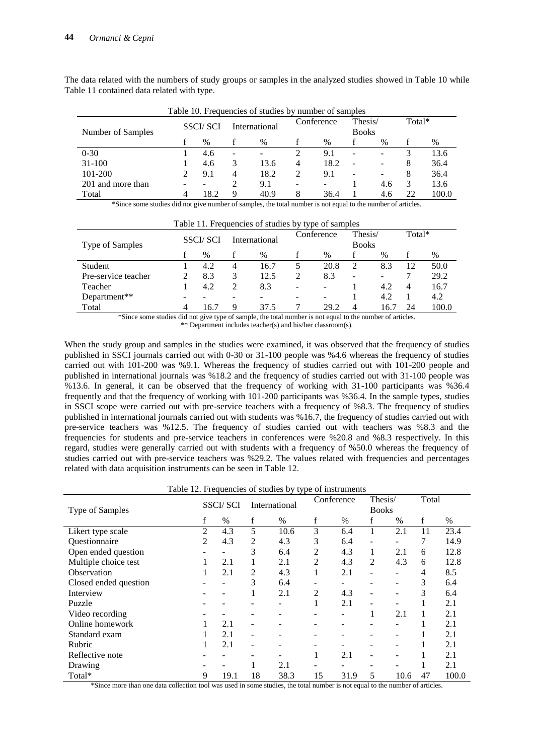| Lable 10. Frequencies of studies by number of samples |  |                 |                          |               |               |            |                          |                          |    |        |
|-------------------------------------------------------|--|-----------------|--------------------------|---------------|---------------|------------|--------------------------|--------------------------|----|--------|
| Number of Samples                                     |  | <b>SSCI/SCI</b> |                          | International |               | Conference |                          | Thesis/<br><b>Books</b>  |    | Total* |
|                                                       |  | $\frac{0}{0}$   |                          | $\%$          | $\frac{0}{0}$ |            |                          | $\%$                     |    | %      |
| $0 - 30$                                              |  | 4.6             | $\overline{\phantom{0}}$ | -             |               | 9.1        | $\overline{\phantom{a}}$ | -                        |    | 13.6   |
| $31 - 100$                                            |  | 4.6             | 3                        | 13.6          | 4             | 18.2       | $\overline{\phantom{a}}$ | $\overline{\phantom{0}}$ | 8  | 36.4   |
| 101-200                                               |  | 9.1             | 4                        | 18.2          | 2             | 9.1        | $\overline{\phantom{a}}$ |                          | 8  | 36.4   |
| 201 and more than                                     |  |                 |                          | 9.1           | -             | -          |                          | 4.6                      | 3  | 13.6   |
| Total                                                 |  | 18.2            | q                        | 40.9          | 8             | 36.4       |                          | 4.6                      | 22 | 100.0  |

The data related with the numbers of study groups or samples in the analyzed studies showed in Table 10 while Table 11 contained data related with type.

\*Since some studies did not give number of samples, the total number is not equal to the number of articles.

| Table 11. Frequencies of studies by type of samples |  |                 |                |               |                             |                          |                          |      |        |       |
|-----------------------------------------------------|--|-----------------|----------------|---------------|-----------------------------|--------------------------|--------------------------|------|--------|-------|
|                                                     |  | <b>SSCI/SCI</b> |                | International |                             | Conference               | Thesis/                  |      | Total* |       |
| Type of Samples                                     |  |                 |                |               |                             |                          | <b>Books</b>             |      |        |       |
|                                                     |  | $\%$            |                | $\%$          |                             | $\%$                     |                          | $\%$ |        | $\%$  |
| <b>Student</b>                                      |  | 4.2             | $\overline{4}$ | 16.7          |                             | 20.8                     | $\mathcal{D}$            | 8.3  | 12     | 50.0  |
| Pre-service teacher                                 |  | 8.3             | 3              | 12.5          | $\mathcal{D}_{\mathcal{A}}$ | 8.3                      | $\overline{\phantom{a}}$ |      |        | 29.2  |
| Teacher                                             |  | 4.2             |                | 8.3           | $\overline{\phantom{0}}$    |                          |                          | 4.2  | 4      | 16.7  |
| Department**                                        |  |                 |                |               |                             | $\overline{\phantom{0}}$ |                          | 4.2  |        | 4.2   |
| Total                                               |  | 16.7            | Q              | 37.5          |                             | 29.2                     | 4                        | 16.  | 24     | 100.0 |

\*Since some studies did not give type of sample, the total number is not equal to the number of articles.

\*\* Department includes teacher(s) and his/her classroom(s).

When the study group and samples in the studies were examined, it was observed that the frequency of studies published in SSCI journals carried out with 0-30 or 31-100 people was %4.6 whereas the frequency of studies carried out with 101-200 was %9.1. Whereas the frequency of studies carried out with 101-200 people and published in international journals was %18.2 and the frequency of studies carried out with 31-100 people was %13.6. In general, it can be observed that the frequency of working with 31-100 participants was %36.4 frequently and that the frequency of working with 101-200 participants was %36.4. In the sample types, studies in SSCI scope were carried out with pre-service teachers with a frequency of %8.3. The frequency of studies published in international journals carried out with students was %16.7, the frequency of studies carried out with pre-service teachers was %12.5. The frequency of studies carried out with teachers was %8.3 and the frequencies for students and pre-service teachers in conferences were %20.8 and %8.3 respectively. In this regard, studies were generally carried out with students with a frequency of %50.0 whereas the frequency of studies carried out with pre-service teachers was %29.2. The values related with frequencies and percentages related with data acquisition instruments can be seen in Table 12.

|  | Table 12. Frequencies of studies by type of instruments |
|--|---------------------------------------------------------|

|                       | <b>SSCI/SCI</b><br>International |               |                          | Conference | Thesis/                  |               | Total                        |                          |                |       |
|-----------------------|----------------------------------|---------------|--------------------------|------------|--------------------------|---------------|------------------------------|--------------------------|----------------|-------|
| Type of Samples       |                                  |               |                          |            |                          |               | <b>Books</b>                 |                          |                |       |
|                       | f                                | $\frac{0}{0}$ | f                        | $\%$       | f                        | $\frac{0}{0}$ | f                            | $\%$                     | f              | $\%$  |
| Likert type scale     | $\overline{2}$                   | 4.3           | 5                        | 10.6       | 3                        | 6.4           | 1                            | 2.1                      | 11             | 23.4  |
| Questionnaire         | 2                                | 4.3           | $\overline{2}$           | 4.3        | 3                        | 6.4           | $\qquad \qquad -$            |                          | 7              | 14.9  |
| Open ended question   |                                  |               | 3                        | 6.4        | $\overline{2}$           | 4.3           | 1                            | 2.1                      | 6              | 12.8  |
| Multiple choice test  |                                  | 2.1           | 1                        | 2.1        | $\overline{2}$           | 4.3           | 2                            | 4.3                      | 6              | 12.8  |
| Observation           |                                  | 2.1           | 2                        | 4.3        | 1                        | 2.1           | $\qquad \qquad \blacksquare$ | $\overline{\phantom{0}}$ | $\overline{4}$ | 8.5   |
| Closed ended question |                                  |               | 3                        | 6.4        | ۰                        |               | ۰                            |                          | 3              | 6.4   |
| Interview             |                                  |               | 1                        | 2.1        | 2                        | 4.3           | $\qquad \qquad -$            |                          | 3              | 6.4   |
| Puzzle                |                                  |               |                          |            | 1                        | 2.1           | ۰                            |                          | 1              | 2.1   |
| Video recording       |                                  |               |                          |            |                          |               | 1                            | 2.1                      |                | 2.1   |
| Online homework       |                                  | 2.1           | $\overline{a}$           |            |                          |               |                              |                          |                | 2.1   |
| Standard exam         |                                  | 2.1           | $\overline{\phantom{a}}$ |            | ۰                        |               | -                            | -                        |                | 2.1   |
| Rubric                |                                  | 2.1           | $\overline{\phantom{a}}$ |            | $\overline{\phantom{0}}$ | -             | ۰                            | $\overline{\phantom{a}}$ |                | 2.1   |
| Reflective note       |                                  |               |                          |            | 1                        | 2.1           | ۰                            | $\overline{\phantom{a}}$ |                | 2.1   |
| Drawing               |                                  |               | 1                        | 2.1        |                          |               | -                            | $\overline{\phantom{a}}$ | 1              | 2.1   |
| Total*                | 9                                | 19.1          | 18                       | 38.3       | 15                       | 31.9          | 5                            | 10.6                     | 47             | 100.0 |

\*Since more than one data collection tool was used in some studies, the total number is not equal to the number of articles.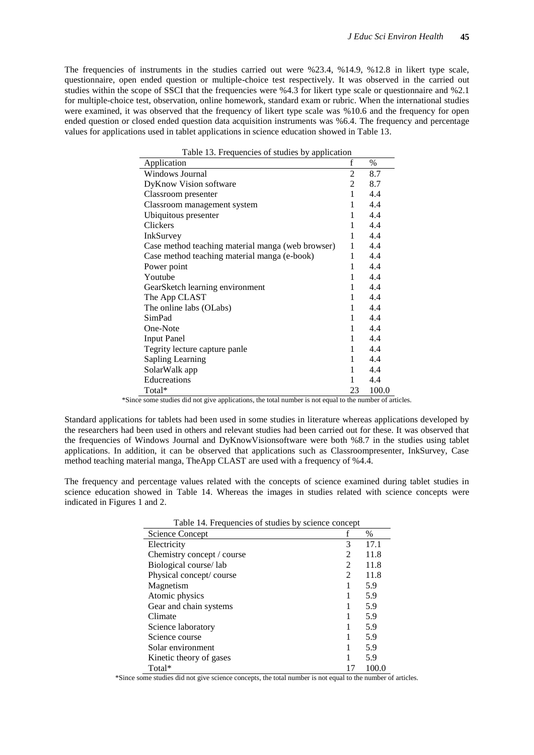The frequencies of instruments in the studies carried out were %23.4, %14.9, %12.8 in likert type scale, questionnaire, open ended question or multiple-choice test respectively. It was observed in the carried out studies within the scope of SSCI that the frequencies were %4.3 for likert type scale or questionnaire and %2.1 for multiple-choice test, observation, online homework, standard exam or rubric. When the international studies were examined, it was observed that the frequency of likert type scale was %10.6 and the frequency for open ended question or closed ended question data acquisition instruments was %6.4. The frequency and percentage values for applications used in tablet applications in science education showed in Table 13.

| I able 13. Frequencies of studies by application  |    |       |
|---------------------------------------------------|----|-------|
| Application                                       | f  | $\%$  |
| Windows Journal                                   | 2  | 8.7   |
| <b>DyKnow Vision software</b>                     | 2  | 8.7   |
| Classroom presenter                               | 1  | 4.4   |
| Classroom management system                       | 1  | 4.4   |
| Ubiquitous presenter                              | 1  | 4.4   |
| Clickers                                          | 1  | 4.4   |
| InkSurvey                                         | 1  | 4.4   |
| Case method teaching material manga (web browser) | 1  | 4.4   |
| Case method teaching material manga (e-book)      | 1  | 4.4   |
| Power point                                       | 1  | 4.4   |
| Youtube                                           | 1  | 4.4   |
| GearSketch learning environment                   | 1  | 4.4   |
| The App CLAST                                     | 1  | 4.4   |
| The online labs (OLabs)                           | 1  | 4.4   |
| SimPad                                            | 1  | 4.4   |
| One-Note                                          | 1  | 4.4   |
| <b>Input Panel</b>                                | 1  | 4.4   |
| Tegrity lecture capture panle                     | 1  | 4.4   |
| <b>Sapling Learning</b>                           | 1  | 4.4   |
| SolarWalk app                                     | 1  | 4.4   |
| Educreations                                      | 1  | 4.4   |
| Total*                                            | 23 | 100.0 |

Table 13. Frequencies of studies by application

\*Since some studies did not give applications, the total number is not equal to the number of articles.

Standard applications for tablets had been used in some studies in literature whereas applications developed by the researchers had been used in others and relevant studies had been carried out for these. It was observed that the frequencies of Windows Journal and DyKnowVisionsoftware were both %8.7 in the studies using tablet applications. In addition, it can be observed that applications such as Classroompresenter, InkSurvey, Case method teaching material manga, TheApp CLAST are used with a frequency of %4.4.

The frequency and percentage values related with the concepts of science examined during tablet studies in science education showed in Table 14. Whereas the images in studies related with science concepts were indicated in Figures 1 and 2.

| Table 14. Flequencies of studies by science concept |   |       |
|-----------------------------------------------------|---|-------|
| Science Concept                                     |   | $\%$  |
| Electricity                                         | 3 | 17.1  |
| Chemistry concept / course                          | 2 | 11.8  |
| Biological course/lab                               | 2 | 11.8  |
| Physical concept/course                             | 2 | 11.8  |
| Magnetism                                           |   | 5.9   |
| Atomic physics                                      |   | 5.9   |
| Gear and chain systems                              |   | 5.9   |
| Climate                                             |   | 5.9   |
| Science laboratory                                  |   | 5.9   |
| Science course                                      |   | 5.9   |
| Solar environment                                   |   | 5.9   |
| Kinetic theory of gases                             |   | 5.9   |
| Total*                                              |   | 100.0 |

| Table 14. Frequencies of studies by science concept |  |
|-----------------------------------------------------|--|
|                                                     |  |

\*Since some studies did not give science concepts, the total number is not equal to the number of articles.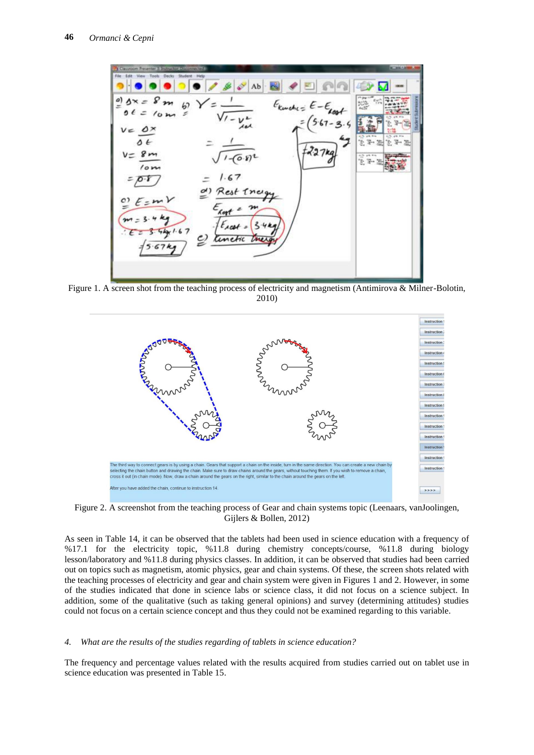

Figure 1. A screen shot from the teaching process of electricity and magnetism (Antimirova & Milner-Bolotin, 2010)



Figure 2. A screenshot from the teaching process of Gear and chain systems topic (Leenaars, vanJoolingen, Gijlers & Bollen, 2012)

As seen in Table 14, it can be observed that the tablets had been used in science education with a frequency of %17.1 for the electricity topic, %11.8 during chemistry concepts/course, %11.8 during biology lesson/laboratory and %11.8 during physics classes. In addition, it can be observed that studies had been carried out on topics such as magnetism, atomic physics, gear and chain systems. Of these, the screen shots related with the teaching processes of electricity and gear and chain system were given in Figures 1 and 2. However, in some of the studies indicated that done in science labs or science class, it did not focus on a science subject. In addition, some of the qualitative (such as taking general opinions) and survey (determining attitudes) studies could not focus on a certain science concept and thus they could not be examined regarding to this variable.

#### *4. What are the results of the studies regarding of tablets in science education?*

The frequency and percentage values related with the results acquired from studies carried out on tablet use in science education was presented in Table 15.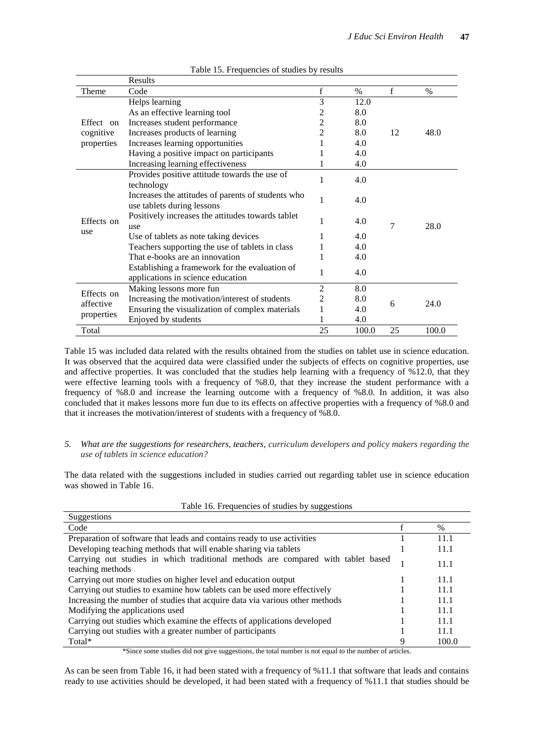|            | Results                                            |                |       |    |       |  |
|------------|----------------------------------------------------|----------------|-------|----|-------|--|
| Theme      | Code                                               | $\mathbf f$    | $\%$  | f  | %     |  |
|            | Helps learning                                     | 3              | 12.0  |    |       |  |
|            | As an effective learning tool                      | 2              | 8.0   |    |       |  |
| Effect on  | Increases student performance                      | 2              | 8.0   |    |       |  |
| cognitive  | Increases products of learning                     | 2              | 8.0   | 12 | 48.0  |  |
| properties | Increases learning opportunities                   |                | 4.0   |    |       |  |
|            | Having a positive impact on participants           |                | 4.0   |    |       |  |
|            | Increasing learning effectiveness                  |                | 4.0   |    |       |  |
|            | Provides positive attitude towards the use of      | 1              | 4.0   |    |       |  |
|            | technology                                         |                |       |    |       |  |
|            | Increases the attitudes of parents of students who | 1              | 4.0   |    |       |  |
|            | use tablets during lessons                         |                |       |    |       |  |
| Effects on | Positively increases the attitudes towards tablet  | 1              | 4.0   |    |       |  |
| use        | use                                                |                |       | 7  | 28.0  |  |
|            | Use of tablets as note taking devices              | 1              | 4.0   |    |       |  |
|            | Teachers supporting the use of tablets in class    |                | 4.0   |    |       |  |
|            | That e-books are an innovation                     |                | 4.0   |    |       |  |
|            | Establishing a framework for the evaluation of     | 1              | 4.0   |    |       |  |
|            | applications in science education                  |                |       |    |       |  |
| Effects on | Making lessons more fun                            | 2              | 8.0   |    |       |  |
| affective  | Increasing the motivation/interest of students     | $\overline{c}$ | 8.0   | 6  | 24.0  |  |
|            | Ensuring the visualization of complex materials    | 1              | 4.0   |    |       |  |
| properties | Enjoyed by students                                |                | 4.0   |    |       |  |
| Total      |                                                    | 25             | 100.0 | 25 | 100.0 |  |

#### Table 15. Frequencies of studies by results

Table 15 was included data related with the results obtained from the studies on tablet use in science education. It was observed that the acquired data were classified under the subjects of effects on cognitive properties, use and affective properties. It was concluded that the studies help learning with a frequency of %12.0, that they were effective learning tools with a frequency of %8.0, that they increase the student performance with a frequency of %8.0 and increase the learning outcome with a frequency of %8.0. In addition, it was also concluded that it makes lessons more fun due to its effects on affective properties with a frequency of %8.0 and that it increases the motivation/interest of students with a frequency of %8.0.

#### *5. What are the suggestions for researchers, teachers, curriculum developers and policy makers regarding the use of tablets in science education?*

The data related with the suggestions included in studies carried out regarding tablet use in science education was showed in Table 16.

| -------<br>Suggestions                                                                               |   |       |
|------------------------------------------------------------------------------------------------------|---|-------|
| Code                                                                                                 |   | $\%$  |
| Preparation of software that leads and contains ready to use activities                              |   | 11.1  |
| Developing teaching methods that will enable sharing via tablets                                     |   | 11.1  |
| Carrying out studies in which traditional methods are compared with tablet based<br>teaching methods |   | 11.1  |
| Carrying out more studies on higher level and education output                                       |   | 11.1  |
| Carrying out studies to examine how tablets can be used more effectively                             |   | 11.1  |
| Increasing the number of studies that acquire data via various other methods                         |   | 11.1  |
| Modifying the applications used                                                                      |   | 11.1  |
| Carrying out studies which examine the effects of applications developed                             |   | 11.1  |
| Carrying out studies with a greater number of participants                                           |   | 11.1  |
| Total*                                                                                               | Q | 100.0 |

| Table 16. Frequencies of studies by suggestions |  |  |  |  |  |  |  |
|-------------------------------------------------|--|--|--|--|--|--|--|
|-------------------------------------------------|--|--|--|--|--|--|--|

\*Since some studies did not give suggestions, the total number is not equal to the number of articles.

As can be seen from Table 16, it had been stated with a frequency of %11.1 that software that leads and contains ready to use activities should be developed, it had been stated with a frequency of %11.1 that studies should be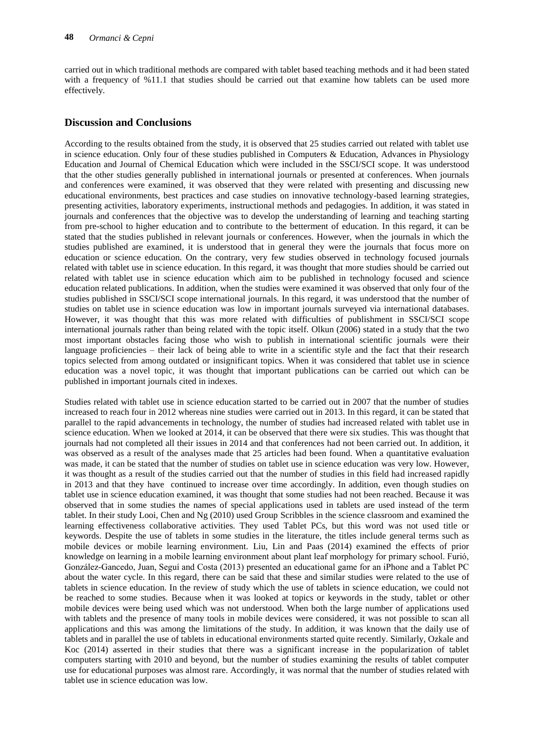carried out in which traditional methods are compared with tablet based teaching methods and it had been stated with a frequency of %11.1 that studies should be carried out that examine how tablets can be used more effectively.

## **Discussion and Conclusions**

According to the results obtained from the study, it is observed that 25 studies carried out related with tablet use in science education. Only four of these studies published in Computers & Education, Advances in Physiology Education and Journal of Chemical Education which were included in the SSCI/SCI scope. It was understood that the other studies generally published in international journals or presented at conferences. When journals and conferences were examined, it was observed that they were related with presenting and discussing new educational environments, best practices and case studies on innovative technology-based learning strategies, presenting activities, laboratory experiments, instructional methods and pedagogies. In addition, it was stated in journals and conferences that the objective was to develop the understanding of learning and teaching starting from pre-school to higher education and to contribute to the betterment of education. In this regard, it can be stated that the studies published in relevant journals or conferences. However, when the journals in which the studies published are examined, it is understood that in general they were the journals that focus more on education or science education. On the contrary, very few studies observed in technology focused journals related with tablet use in science education. In this regard, it was thought that more studies should be carried out related with tablet use in science education which aim to be published in technology focused and science education related publications. In addition, when the studies were examined it was observed that only four of the studies published in SSCI/SCI scope international journals. In this regard, it was understood that the number of studies on tablet use in science education was low in important journals surveyed via international databases. However, it was thought that this was more related with difficulties of publishment in SSCI/SCI scope international journals rather than being related with the topic itself. Olkun (2006) stated in a study that the two most important obstacles facing those who wish to publish in international scientific journals were their language proficiencies – their lack of being able to write in a scientific style and the fact that their research topics selected from among outdated or insignificant topics. When it was considered that tablet use in science education was a novel topic, it was thought that important publications can be carried out which can be published in important journals cited in indexes.

Studies related with tablet use in science education started to be carried out in 2007 that the number of studies increased to reach four in 2012 whereas nine studies were carried out in 2013. In this regard, it can be stated that parallel to the rapid advancements in technology, the number of studies had increased related with tablet use in science education. When we looked at 2014, it can be observed that there were six studies. This was thought that journals had not completed all their issues in 2014 and that conferences had not been carried out. In addition, it was observed as a result of the analyses made that 25 articles had been found. When a quantitative evaluation was made, it can be stated that the number of studies on tablet use in science education was very low. However, it was thought as a result of the studies carried out that the number of studies in this field had increased rapidly in 2013 and that they have continued to increase over time accordingly. In addition, even though studies on tablet use in science education examined, it was thought that some studies had not been reached. Because it was observed that in some studies the names of special applications used in tablets are used instead of the term tablet. In their study Looi, Chen and Ng (2010) used Group Scribbles in the science classroom and examined the learning effectiveness collaborative activities. They used Tablet PCs, but this word was not used title or keywords. Despite the use of tablets in some studies in the literature, the titles include general terms such as mobile devices or mobile learning environment. Liu, Lin and Paas (2014) examined the effects of prior knowledge on learning in a mobile learning environment about plant leaf morphology for primary school. Furió, González-Gancedo, Juan, Seguí and Costa (2013) presented an educational game for an iPhone and a Tablet PC about the water cycle. In this regard, there can be said that these and similar studies were related to the use of tablets in science education. In the review of study which the use of tablets in science education, we could not be reached to some studies. Because when it was looked at topics or keywords in the study, tablet or other mobile devices were being used which was not understood. When both the large number of applications used with tablets and the presence of many tools in mobile devices were considered, it was not possible to scan all applications and this was among the limitations of the study. In addition, it was known that the daily use of tablets and in parallel the use of tablets in educational environments started quite recently. Similarly, Ozkale and Koc (2014) asserted in their studies that there was a significant increase in the popularization of tablet computers starting with 2010 and beyond, but the number of studies examining the results of tablet computer use for educational purposes was almost rare. Accordingly, it was normal that the number of studies related with tablet use in science education was low.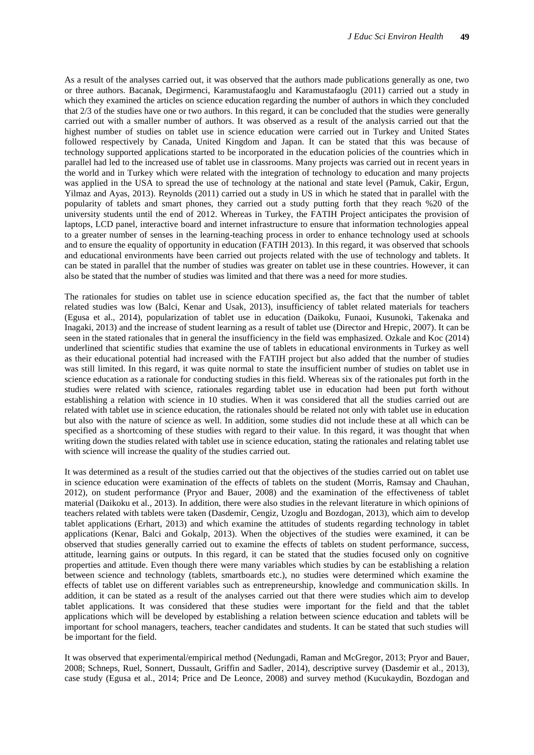As a result of the analyses carried out, it was observed that the authors made publications generally as one, two or three authors. Bacanak, Degirmenci, Karamustafaoglu and Karamustafaoglu (2011) carried out a study in which they examined the articles on science education regarding the number of authors in which they concluded that 2/3 of the studies have one or two authors. In this regard, it can be concluded that the studies were generally carried out with a smaller number of authors. It was observed as a result of the analysis carried out that the highest number of studies on tablet use in science education were carried out in Turkey and United States followed respectively by Canada, United Kingdom and Japan. It can be stated that this was because of technology supported applications started to be incorporated in the education policies of the countries which in parallel had led to the increased use of tablet use in classrooms. Many projects was carried out in recent years in the world and in Turkey which were related with the integration of technology to education and many projects was applied in the USA to spread the use of technology at the national and state level (Pamuk, Cakir, Ergun, Yilmaz and Ayas, 2013). Reynolds (2011) carried out a study in US in which he stated that in parallel with the popularity of tablets and smart phones, they carried out a study putting forth that they reach %20 of the university students until the end of 2012. Whereas in Turkey, the FATIH Project anticipates the provision of laptops, LCD panel, interactive board and internet infrastructure to ensure that information technologies appeal to a greater number of senses in the learning-teaching process in order to enhance technology used at schools and to ensure the equality of opportunity in education (FATIH 2013). In this regard, it was observed that schools and educational environments have been carried out projects related with the use of technology and tablets. It can be stated in parallel that the number of studies was greater on tablet use in these countries. However, it can also be stated that the number of studies was limited and that there was a need for more studies.

The rationales for studies on tablet use in science education specified as, the fact that the number of tablet related studies was low (Balci, Kenar and Usak, 2013), insufficiency of tablet related materials for teachers (Egusa et al., 2014), popularization of tablet use in education (Daikoku, Funaoi, Kusunoki, Takenaka and Inagaki, 2013) and the increase of student learning as a result of tablet use (Director and Hrepic, 2007). It can be seen in the stated rationales that in general the insufficiency in the field was emphasized. Ozkale and Koc (2014) underlined that scientific studies that examine the use of tablets in educational environments in Turkey as well as their educational potential had increased with the FATIH project but also added that the number of studies was still limited. In this regard, it was quite normal to state the insufficient number of studies on tablet use in science education as a rationale for conducting studies in this field. Whereas six of the rationales put forth in the studies were related with science, rationales regarding tablet use in education had been put forth without establishing a relation with science in 10 studies. When it was considered that all the studies carried out are related with tablet use in science education, the rationales should be related not only with tablet use in education but also with the nature of science as well. In addition, some studies did not include these at all which can be specified as a shortcoming of these studies with regard to their value. In this regard, it was thought that when writing down the studies related with tablet use in science education, stating the rationales and relating tablet use with science will increase the quality of the studies carried out.

It was determined as a result of the studies carried out that the objectives of the studies carried out on tablet use in science education were examination of the effects of tablets on the student (Morris, Ramsay and Chauhan, 2012), on student performance (Pryor and Bauer, 2008) and the examination of the effectiveness of tablet material (Daikoku et al., 2013). In addition, there were also studies in the relevant literature in which opinions of teachers related with tablets were taken (Dasdemir, Cengiz, Uzoglu and Bozdogan, 2013), which aim to develop tablet applications (Erhart, 2013) and which examine the attitudes of students regarding technology in tablet applications (Kenar, Balci and Gokalp, 2013). When the objectives of the studies were examined, it can be observed that studies generally carried out to examine the effects of tablets on student performance, success, attitude, learning gains or outputs. In this regard, it can be stated that the studies focused only on cognitive properties and attitude. Even though there were many variables which studies by can be establishing a relation between science and technology (tablets, smartboards etc.), no studies were determined which examine the effects of tablet use on different variables such as entrepreneurship, knowledge and communication skills. In addition, it can be stated as a result of the analyses carried out that there were studies which aim to develop tablet applications. It was considered that these studies were important for the field and that the tablet applications which will be developed by establishing a relation between science education and tablets will be important for school managers, teachers, teacher candidates and students. It can be stated that such studies will be important for the field.

It was observed that experimental/empirical method (Nedungadi, Raman and McGregor, 2013; Pryor and Bauer, 2008; Schneps, Ruel, Sonnert, Dussault, Griffin and Sadler, 2014), descriptive survey (Dasdemir et al., 2013), case study (Egusa et al., 2014; Price and De Leonce, 2008) and survey method (Kucukaydin, Bozdogan and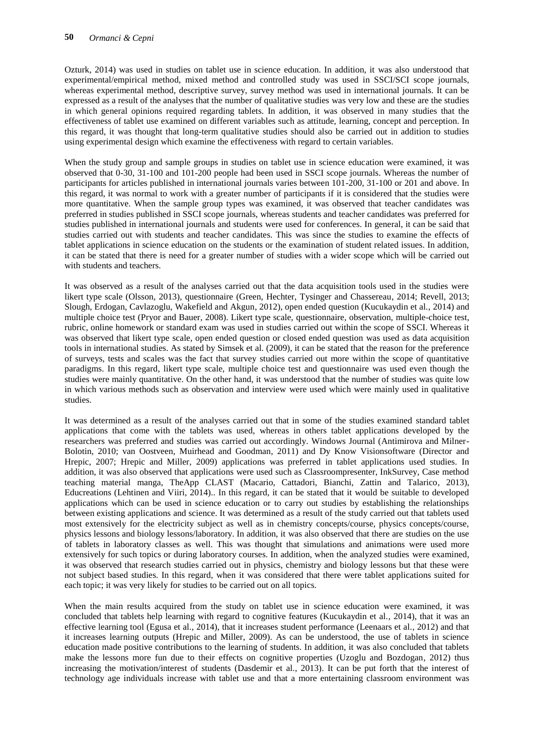Ozturk, 2014) was used in studies on tablet use in science education. In addition, it was also understood that experimental/empirical method, mixed method and controlled study was used in SSCI/SCI scope journals, whereas experimental method, descriptive survey, survey method was used in international journals. It can be expressed as a result of the analyses that the number of qualitative studies was very low and these are the studies in which general opinions required regarding tablets. In addition, it was observed in many studies that the effectiveness of tablet use examined on different variables such as attitude, learning, concept and perception. In this regard, it was thought that long-term qualitative studies should also be carried out in addition to studies using experimental design which examine the effectiveness with regard to certain variables.

When the study group and sample groups in studies on tablet use in science education were examined, it was observed that 0-30, 31-100 and 101-200 people had been used in SSCI scope journals. Whereas the number of participants for articles published in international journals varies between 101-200, 31-100 or 201 and above. In this regard, it was normal to work with a greater number of participants if it is considered that the studies were more quantitative. When the sample group types was examined, it was observed that teacher candidates was preferred in studies published in SSCI scope journals, whereas students and teacher candidates was preferred for studies published in international journals and students were used for conferences. In general, it can be said that studies carried out with students and teacher candidates. This was since the studies to examine the effects of tablet applications in science education on the students or the examination of student related issues. In addition, it can be stated that there is need for a greater number of studies with a wider scope which will be carried out with students and teachers.

It was observed as a result of the analyses carried out that the data acquisition tools used in the studies were likert type scale (Olsson, 2013), questionnaire (Green, Hechter, Tysinger and Chassereau, 2014; Revell, 2013; Slough, Erdogan, Cavlazoglu, Wakefield and Akgun, 2012), open ended question (Kucukaydin et al., 2014) and multiple choice test (Pryor and Bauer, 2008). Likert type scale, questionnaire, observation, multiple-choice test, rubric, online homework or standard exam was used in studies carried out within the scope of SSCI. Whereas it was observed that likert type scale, open ended question or closed ended question was used as data acquisition tools in international studies. As stated by Simsek et al. (2009), it can be stated that the reason for the preference of surveys, tests and scales was the fact that survey studies carried out more within the scope of quantitative paradigms. In this regard, likert type scale, multiple choice test and questionnaire was used even though the studies were mainly quantitative. On the other hand, it was understood that the number of studies was quite low in which various methods such as observation and interview were used which were mainly used in qualitative studies.

It was determined as a result of the analyses carried out that in some of the studies examined standard tablet applications that come with the tablets was used, whereas in others tablet applications developed by the researchers was preferred and studies was carried out accordingly. Windows Journal (Antimirova and Milner-Bolotin, 2010; van Oostveen, Muirhead and Goodman, 2011) and Dy Know Visionsoftware (Director and Hrepic, 2007; Hrepic and Miller, 2009) applications was preferred in tablet applications used studies. In addition, it was also observed that applications were used such as Classroompresenter, InkSurvey, Case method teaching material manga, TheApp CLAST (Macario, Cattadori, Bianchi, Zattin and Talarico, 2013), Educreations (Lehtinen and Viiri, 2014).. In this regard, it can be stated that it would be suitable to developed applications which can be used in science education or to carry out studies by establishing the relationships between existing applications and science. It was determined as a result of the study carried out that tablets used most extensively for the electricity subject as well as in chemistry concepts/course, physics concepts/course, physics lessons and biology lessons/laboratory. In addition, it was also observed that there are studies on the use of tablets in laboratory classes as well. This was thought that simulations and animations were used more extensively for such topics or during laboratory courses. In addition, when the analyzed studies were examined, it was observed that research studies carried out in physics, chemistry and biology lessons but that these were not subject based studies. In this regard, when it was considered that there were tablet applications suited for each topic; it was very likely for studies to be carried out on all topics.

When the main results acquired from the study on tablet use in science education were examined, it was concluded that tablets help learning with regard to cognitive features (Kucukaydin et al., 2014), that it was an effective learning tool (Egusa et al., 2014), that it increases student performance (Leenaars et al., 2012) and that it increases learning outputs (Hrepic and Miller, 2009). As can be understood, the use of tablets in science education made positive contributions to the learning of students. In addition, it was also concluded that tablets make the lessons more fun due to their effects on cognitive properties (Uzoglu and Bozdogan, 2012) thus increasing the motivation/interest of students (Dasdemir et al., 2013). It can be put forth that the interest of technology age individuals increase with tablet use and that a more entertaining classroom environment was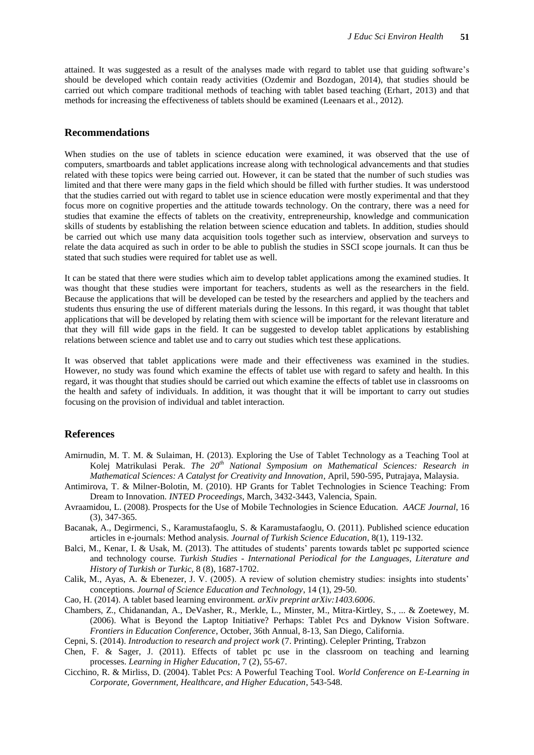attained. It was suggested as a result of the analyses made with regard to tablet use that guiding software"s should be developed which contain ready activities (Ozdemir and Bozdogan, 2014), that studies should be carried out which compare traditional methods of teaching with tablet based teaching (Erhart, 2013) and that methods for increasing the effectiveness of tablets should be examined (Leenaars et al., 2012).

## **Recommendations**

When studies on the use of tablets in science education were examined, it was observed that the use of computers, smartboards and tablet applications increase along with technological advancements and that studies related with these topics were being carried out. However, it can be stated that the number of such studies was limited and that there were many gaps in the field which should be filled with further studies. It was understood that the studies carried out with regard to tablet use in science education were mostly experimental and that they focus more on cognitive properties and the attitude towards technology. On the contrary, there was a need for studies that examine the effects of tablets on the creativity, entrepreneurship, knowledge and communication skills of students by establishing the relation between science education and tablets. In addition, studies should be carried out which use many data acquisition tools together such as interview, observation and surveys to relate the data acquired as such in order to be able to publish the studies in SSCI scope journals. It can thus be stated that such studies were required for tablet use as well.

It can be stated that there were studies which aim to develop tablet applications among the examined studies. It was thought that these studies were important for teachers, students as well as the researchers in the field. Because the applications that will be developed can be tested by the researchers and applied by the teachers and students thus ensuring the use of different materials during the lessons. In this regard, it was thought that tablet applications that will be developed by relating them with science will be important for the relevant literature and that they will fill wide gaps in the field. It can be suggested to develop tablet applications by establishing relations between science and tablet use and to carry out studies which test these applications.

It was observed that tablet applications were made and their effectiveness was examined in the studies. However, no study was found which examine the effects of tablet use with regard to safety and health. In this regard, it was thought that studies should be carried out which examine the effects of tablet use in classrooms on the health and safety of individuals. In addition, it was thought that it will be important to carry out studies focusing on the provision of individual and tablet interaction.

#### **References**

- Amirnudin, M. T. M. & Sulaiman, H. (2013). Exploring the Use of Tablet Technology as a Teaching Tool at Kolej Matrikulasi Perak. *The 20th National Symposium on Mathematical Sciences: Research in Mathematical Sciences: A Catalyst for Creativity and Innovation*, April, 590-595, Putrajaya, Malaysia.
- Antimirova, T. & Milner-Bolotin, M. (2010). HP Grants for Tablet Technologies in Science Teaching: From Dream to Innovation. *INTED Proceedings*, March, 3432-3443, Valencia, Spain.
- Avraamidou, L. (2008). Prospects for the Use of Mobile Technologies in Science Education. *AACE Journal*, 16 (3), 347-365.
- Bacanak, A., Degirmenci, S., Karamustafaoglu, S. & Karamustafaoglu, O. (2011). Published science education articles in e-journals: Method analysis. *Journal of Turkish Science Education*, 8(1), 119-132.
- Balci, M., Kenar, I. & Usak, M. (2013). The attitudes of students" parents towards tablet pc supported science and technology course. *Turkish Studies - International Periodical for the Languages, Literature and History of Turkish or Turkic,* 8 (8), 1687-1702.
- Calik, M., Ayas, A. & Ebenezer, J. V. (2005). A review of solution chemistry studies: insights into students" conceptions. *Journal of Science Education and Technology*, 14 (1), 29-50.
- Cao, H. (2014). A tablet based learning environment. *arXiv preprint arXiv:1403.6006*.
- Chambers, Z., Chidanandan, A., DeVasher, R., Merkle, L., Minster, M., Mitra-Kirtley, S., ... & Zoetewey, M. (2006). What is Beyond the Laptop Initiative? Perhaps: Tablet Pcs and Dyknow Vision Software*. Frontiers in Education Conference*, October, 36th Annual, 8-13, San Diego, California.

Cepni, S. (2014). *Introduction to research and project work* (7. Printing). Celepler Printing, Trabzon

- Chen, F. & Sager, J. (2011). Effects of tablet pc use in the classroom on teaching and learning processes. *Learning in Higher Education*, 7 (2), 55-67.
- Cicchino, R. & Mirliss, D. (2004). Tablet Pcs: A Powerful Teaching Tool. *World Conference on E-Learning in Corporate, Government, Healthcare, and Higher Education*, 543-548.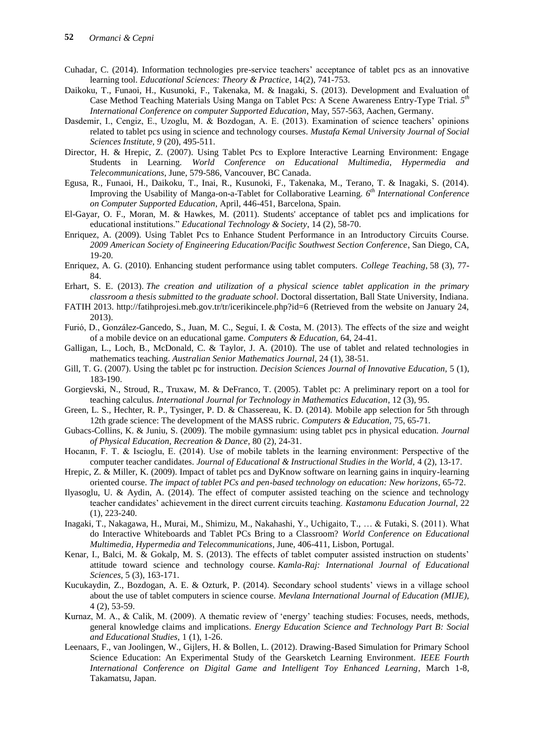- Cuhadar, C. (2014). Information technologies pre-service teachers" acceptance of tablet pcs as an innovative learning tool. *Educational Sciences: Theory & Practice*, 14(2), 741-753.
- Daikoku, T., Funaoi, H., Kusunoki, F., Takenaka, M. & Inagaki, S. (2013). Development and Evaluation of Case Method Teaching Materials Using Manga on Tablet Pcs: A Scene Awareness Entry-Type Trial*. 5th International Conference on computer Supported Education*, May, 557-563, Aachen, Germany.
- Dasdemir, I., Cengiz, E., Uzoglu, M. & Bozdogan, A. E. (2013). Examination of science teachers' opinions related to tablet pcs using in science and technology courses. *Mustafa Kemal University Journal of Social Sciences Institute, 9* (20), 495-511.
- Director, H. & Hrepic, Z. (2007). Using Tablet Pcs to Explore Interactive Learning Environment: Engage Students in Learning*. World Conference on Educational Multimedia, Hypermedia and Telecommunications*, June, 579-586, Vancouver, BC Canada.
- Egusa, R., Funaoi, H., Daikoku, T., Inai, R., Kusunoki, F., Takenaka, M., Terano, T. & Inagaki, S. (2014). Improving the Usability of Manga-on-a-Tablet for Collaborative Learning*. 6th International Conference on Computer Supported Education*, April, 446-451, Barcelona, Spain.
- El-Gayar, O. F., Moran, M. & Hawkes, M. (2011). Students' acceptance of tablet pcs and implications for educational institutions." *Educational Technology & Society*, 14 (2), 58-70.
- Enriquez, A. (2009). Using Tablet Pcs to Enhance Student Performance in an Introductory Circuits Course. *2009 American Society of Engineering Education/Pacific Southwest Section Conference*, San Diego, CA, 19-20.
- Enriquez, A. G. (2010). Enhancing student performance using tablet computers. *College Teaching,* 58 (3), 77- 84.
- Erhart, S. E. (2013). *The creation and utilization of a physical science tablet application in the primary classroom a thesis submitted to the graduate school*. Doctoral dissertation, Ball State University, Indiana.
- FATIH 2013. http://fatihprojesi.meb.gov.tr/tr/icerikincele.php?id=6 (Retrieved from the website on January 24, 2013).
- Furió, D., González-Gancedo, S., Juan, M. C., Seguí, I. & Costa, M. (2013). The effects of the size and weight of a mobile device on an educational game. *Computers & Education,* 64, 24-41.
- Galligan, L., Loch, B., McDonald, C. & Taylor, J. A. (2010). The use of tablet and related technologies in mathematics teaching. *Australian Senior Mathematics Journal,* 24 (1), 38-51.
- Gill, T. G. (2007). Using the tablet pc for instruction. *Decision Sciences Journal of Innovative Education,* 5 (1), 183-190.
- Gorgievski, N., Stroud, R., Truxaw, M. & DeFranco, T. (2005). Tablet pc: A preliminary report on a tool for teaching calculus. *International Journal for Technology in Mathematics Education*, 12 (3), 95.
- Green, L. S., Hechter, R. P., Tysinger, P. D. & Chassereau, K. D. (2014). Mobile app selection for 5th through 12th grade science: The development of the MASS rubric. *Computers & Education,* 75, 65-71.
- Gubacs-Collins, K. & Juniu, S. (2009). The mobile gymnasium: using tablet pcs in physical education. *Journal of Physical Education, Recreation & Dance*, 80 (2), 24-31.
- Hocanın, F. T. & Iscioglu, E. (2014). Use of mobile tablets in the learning environment: Perspective of the computer teacher candidates. *Journal of Educational & Instructional Studies in the World,* 4 (2), 13-17.
- Hrepic, Z. & Miller, K. (2009). Impact of tablet pcs and DyKnow software on learning gains in inquiry-learning oriented course. *The impact of tablet PCs and pen-based technology on education: New horizons*, 65-72.
- Ilyasoglu, U. & Aydin, A. (2014). The effect of computer assisted teaching on the science and technology teacher candidates" achievement in the direct current circuits teaching. *Kastamonu Education Journal,* 22 (1), 223-240.
- Inagaki, T., Nakagawa, H., Murai, M., Shimizu, M., Nakahashi, Y., Uchigaito, T., … & Futaki, S. (2011). What do Interactive Whiteboards and Tablet PCs Bring to a Classroom? *World Conference on Educational Multimedia, Hypermedia and Telecommunications*, June, 406-411, Lisbon, Portugal.
- Kenar, I., Balci, M. & Gokalp, M. S. (2013). The effects of tablet computer assisted instruction on students' attitude toward science and technology course. *Kamla-Raj: International Journal of Educational Sciences,* 5 (3), 163-171.
- Kucukaydin, Z., Bozdogan, A. E. & Ozturk, P. (2014). Secondary school students" views in a village school about the use of tablet computers in science course. *Mevlana International Journal of Education (MIJE),*  4 (2), 53-59.
- Kurnaz, M. A., & Calik, M. (2009). A thematic review of "energy" teaching studies: Focuses, needs, methods, general knowledge claims and implications. *Energy Education Science and Technology Part B: Social and Educational Studies,* 1 (1), 1-26.
- Leenaars, F., van Joolingen, W., Gijlers, H. & Bollen, L. (2012). Drawing-Based Simulation for Primary School Science Education: An Experimental Study of the Gearsketch Learning Environment. *IEEE Fourth International Conference on Digital Game and Intelligent Toy Enhanced Learning*, March 1-8, Takamatsu, Japan.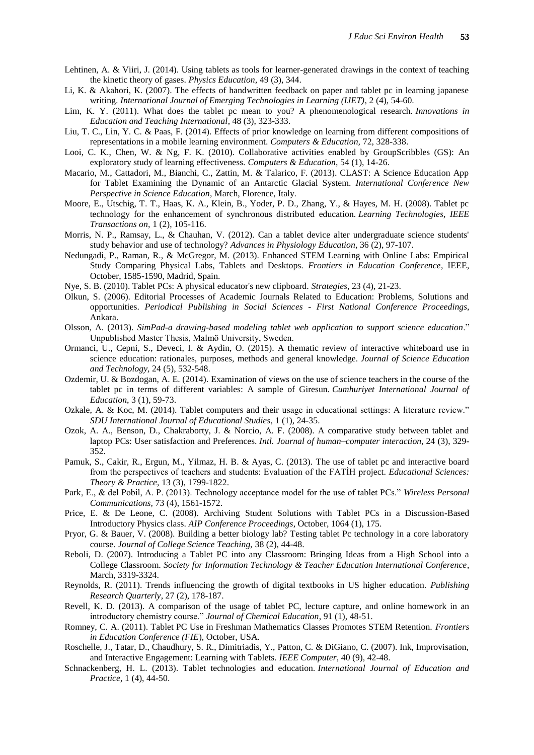- Lehtinen, A. & Viiri, J. (2014). Using tablets as tools for learner-generated drawings in the context of teaching the kinetic theory of gases. *Physics Education,* 49 (3), 344.
- Li, K. & Akahori, K. (2007). The effects of handwritten feedback on paper and tablet pc in learning japanese writing. *International Journal of Emerging Technologies in Learning (IJET)*, 2 (4), 54-60.
- Lim, K. Y. (2011). What does the tablet pc mean to you? A phenomenological research. *Innovations in Education and Teaching International*, 48 (3), 323-333.
- Liu, T. C., Lin, Y. C. & Paas, F. (2014). Effects of prior knowledge on learning from different compositions of representations in a mobile learning environment. *Computers & Education,* 72, 328-338.
- Looi, C. K., Chen, W. & Ng, F. K. (2010). Collaborative activities enabled by GroupScribbles (GS): An exploratory study of learning effectiveness. *Computers & Education*, 54 (1), 14-26.
- Macario, M., Cattadori, M., Bianchi, C., Zattin, M. & Talarico, F. (2013). CLAST: A Science Education App for Tablet Examining the Dynamic of an Antarctic Glacial System. *International Conference New Perspective in Science Education*, March, Florence, Italy.
- Moore, E., Utschig, T. T., Haas, K. A., Klein, B., Yoder, P. D., Zhang, Y., & Hayes, M. H. (2008). Tablet pc technology for the enhancement of synchronous distributed education. *Learning Technologies, IEEE Transactions on,* 1 (2), 105-116.
- Morris, N. P., Ramsay, L., & Chauhan, V. (2012). Can a tablet device alter undergraduate science students' study behavior and use of technology? *Advances in Physiology Education,* 36 (2), 97-107.
- Nedungadi, P., Raman, R., & McGregor, M. (2013). Enhanced STEM Learning with Online Labs: Empirical Study Comparing Physical Labs, Tablets and Desktops. *Frontiers in Education Conference*, IEEE, October, 1585-1590, Madrid, Spain.
- Nye, S. B. (2010). Tablet PCs: A physical educator's new clipboard. *Strategies*, 23 (4), 21-23.
- Olkun, S. (2006). Editorial Processes of Academic Journals Related to Education: Problems, Solutions and opportunities. *Periodical Publishing in Social Sciences - First National Conference Proceedings*, Ankara.
- Olsson, A. (2013). *SimPad-a drawing-based modeling tablet web application to support science education*." Unpublished Master Thesis, Malmö University, Sweden.
- Ormanci, U., Cepni, S., Deveci, I. & Aydin, O. (2015). A thematic review of interactive whiteboard use in science education: rationales, purposes, methods and general knowledge. *Journal of Science Education and Technology,* 24 (5), 532-548.
- Ozdemir, U. & Bozdogan, A. E. (2014). Examination of views on the use of science teachers in the course of the tablet pc in terms of different variables: A sample of Giresun. *Cumhuriyet International Journal of Education*, 3 (1), 59-73.
- Ozkale, A. & Koc, M. (2014). Tablet computers and their usage in educational settings: A literature review." *SDU International Journal of Educational Studies*, 1 (1), 24-35.
- Ozok, A. A., Benson, D., Chakraborty, J. & Norcio, A. F. (2008). A comparative study between tablet and laptop PCs: User satisfaction and Preferences. *Intl. Journal of human–computer interaction,* 24 (3), 329- 352.
- Pamuk, S., Cakir, R., Ergun, M., Yilmaz, H. B. & Ayas, C. (2013). The use of tablet pc and interactive board from the perspectives of teachers and students: Evaluation of the FATİH project. *Educational Sciences: Theory & Practice,* 13 (3), 1799-1822.
- Park, E., & del Pobil, A. P. (2013). Technology acceptance model for the use of tablet PCs." *Wireless Personal Communications,* 73 (4), 1561-1572.
- Price, E. & De Leone, C. (2008). Archiving Student Solutions with Tablet PCs in a Discussion-Based Introductory Physics class. *AIP Conference Proceedings*, October, 1064 (1), 175.
- Pryor, G. & Bauer, V. (2008). Building a better biology lab? Testing tablet Pc technology in a core laboratory course. *Journal of College Science Teaching,* 38 (2), 44-48.
- Reboli, D. (2007). Introducing a Tablet PC into any Classroom: Bringing Ideas from a High School into a College Classroom. *Society for Information Technology & Teacher Education International Conference*, March, 3319-3324.
- Reynolds, R. (2011). Trends influencing the growth of digital textbooks in US higher education. *Publishing Research Quarterly*, 27 (2), 178-187.
- Revell, K. D. (2013). A comparison of the usage of tablet PC, lecture capture, and online homework in an introductory chemistry course." *Journal of Chemical Education*, 91 (1), 48-51.
- Romney, C. A. (2011). Tablet PC Use in Freshman Mathematics Classes Promotes STEM Retention. *Frontiers in Education Conference (FIE*), October, USA.
- Roschelle, J., Tatar, D., Chaudhury, S. R., Dimitriadis, Y., Patton, C. & DiGiano, C. (2007). Ink, Improvisation, and Interactive Engagement: Learning with Tablets. *IEEE Computer*, 40 (9), 42-48.
- Schnackenberg, H. L. (2013). Tablet technologies and education. *International Journal of Education and Practice,* 1 (4), 44-50.